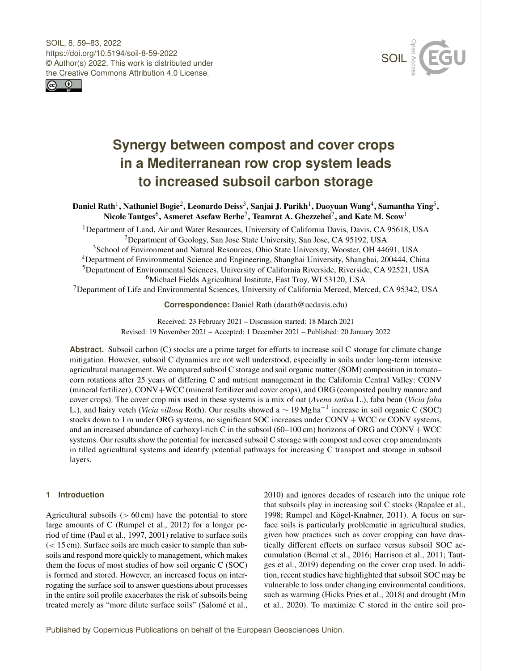SOIL, 8, 59–83, 2022 https://doi.org/10.5194/soil-8-59-2022 © Author(s) 2022. This work is distributed under the Creative Commons Attribution 4.0 License.





# **Synergy between compost and cover crops in a Mediterranean row crop system leads to increased subsoil carbon storage**

Daniel Rath<sup>[1](#page-0-0)</sup>, Nathaniel Bogie<sup>[2](#page-0-0)</sup>, Leonardo Deiss<sup>[3](#page-0-0)</sup>, Sanjai J. Parikh<sup>1</sup>, Daoyuan Wang<sup>[4](#page-0-0)</sup>, Samantha Ying<sup>[5](#page-0-0)</sup>, Nicole Tautges $^6$  $^6$ , Asmeret Asefaw Berhe $^7$  $^7$ , Teamrat A. Ghezzehei $^7$ , and Kate M. Scow $^1$  $^1$ 

<sup>1</sup>Department of Land, Air and Water Resources, University of California Davis, Davis, CA 95618, USA <sup>2</sup>Department of Geology, San Jose State University, San Jose, CA 95192, USA

School of Environment and Natural Resources, Ohio State University, Wooster, OH 44691, USA Department of Environmental Science and Engineering, Shanghai University, Shanghai, 200444, China Department of Environmental Sciences, University of California Riverside, Riverside, CA 92521, USA Michael Fields Agricultural Institute, East Troy, WI 53120, USA

<sup>7</sup>Department of Life and Environmental Sciences, University of California Merced, Merced, CA 95342, USA

**Correspondence:** Daniel Rath (darath@ucdavis.edu)

Received: 23 February 2021 – Discussion started: 18 March 2021 Revised: 19 November 2021 – Accepted: 1 December 2021 – Published: 20 January 2022

**Abstract.** Subsoil carbon (C) stocks are a prime target for efforts to increase soil C storage for climate change mitigation. However, subsoil C dynamics are not well understood, especially in soils under long-term intensive agricultural management. We compared subsoil C storage and soil organic matter (SOM) composition in tomato– corn rotations after 25 years of differing C and nutrient management in the California Central Valley: CONV (mineral fertilizer), CONV+WCC (mineral fertilizer and cover crops), and ORG (composted poultry manure and cover crops). The cover crop mix used in these systems is a mix of oat (*Avena sativa* L.), faba bean (*Vicia faba* L.), and hairy vetch (*Vicia villosa* Roth). Our results showed a ∼ 19 Mg ha−<sup>1</sup> increase in soil organic C (SOC) stocks down to 1 m under ORG systems, no significant SOC increases under CONV + WCC or CONV systems, and an increased abundance of carboxyl-rich C in the subsoil  $(60-100 \text{ cm})$  horizons of ORG and CONV + WCC systems. Our results show the potential for increased subsoil C storage with compost and cover crop amendments in tilled agricultural systems and identify potential pathways for increasing C transport and storage in subsoil layers.

## <span id="page-0-0"></span>**1 Introduction**

Agricultural subsoils  $(> 60 \text{ cm})$  have the potential to store large amounts of C (Rumpel et al., 2012) for a longer period of time (Paul et al., 1997, 2001) relative to surface soils  $(< 15 \text{ cm})$ . Surface soils are much easier to sample than subsoils and respond more quickly to management, which makes them the focus of most studies of how soil organic C (SOC) is formed and stored. However, an increased focus on interrogating the surface soil to answer questions about processes in the entire soil profile exacerbates the risk of subsoils being treated merely as "more dilute surface soils" (Salomé et al.,

2010) and ignores decades of research into the unique role that subsoils play in increasing soil C stocks (Rapalee et al., 1998; Rumpel and Kögel-Knabner, 2011). A focus on surface soils is particularly problematic in agricultural studies, given how practices such as cover cropping can have drastically different effects on surface versus subsoil SOC accumulation (Bernal et al., 2016; Harrison et al., 2011; Tautges et al., 2019) depending on the cover crop used. In addition, recent studies have highlighted that subsoil SOC may be vulnerable to loss under changing environmental conditions, such as warming (Hicks Pries et al., 2018) and drought (Min et al., 2020). To maximize C stored in the entire soil pro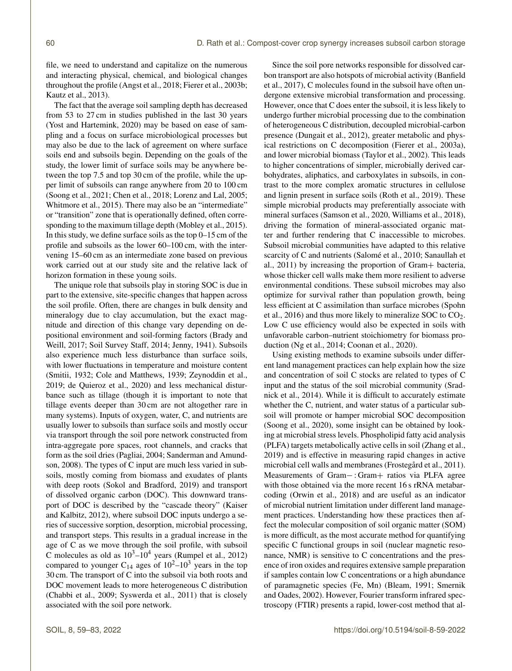file, we need to understand and capitalize on the numerous and interacting physical, chemical, and biological changes throughout the profile (Angst et al., 2018; Fierer et al., 2003b; Kautz et al., 2013).

The fact that the average soil sampling depth has decreased from 53 to 27 cm in studies published in the last 30 years (Yost and Hartemink, 2020) may be based on ease of sampling and a focus on surface microbiological processes but may also be due to the lack of agreement on where surface soils end and subsoils begin. Depending on the goals of the study, the lower limit of surface soils may be anywhere between the top 7.5 and top 30 cm of the profile, while the upper limit of subsoils can range anywhere from 20 to 100 cm (Soong et al., 2021; Chen et al., 2018; Lorenz and Lal, 2005; Whitmore et al., 2015). There may also be an "intermediate" or "transition" zone that is operationally defined, often corresponding to the maximum tillage depth (Mobley et al., 2015). In this study, we define surface soils as the top 0–15 cm of the profile and subsoils as the lower 60–100 cm, with the intervening 15–60 cm as an intermediate zone based on previous work carried out at our study site and the relative lack of horizon formation in these young soils.

The unique role that subsoils play in storing SOC is due in part to the extensive, site-specific changes that happen across the soil profile. Often, there are changes in bulk density and mineralogy due to clay accumulation, but the exact magnitude and direction of this change vary depending on depositional environment and soil-forming factors (Brady and Weill, 2017; Soil Survey Staff, 2014; Jenny, 1941). Subsoils also experience much less disturbance than surface soils, with lower fluctuations in temperature and moisture content (Smitii, 1932; Cole and Matthews, 1939; Zeynoddin et al., 2019; de Quieroz et al., 2020) and less mechanical disturbance such as tillage (though it is important to note that tillage events deeper than 30 cm are not altogether rare in many systems). Inputs of oxygen, water, C, and nutrients are usually lower to subsoils than surface soils and mostly occur via transport through the soil pore network constructed from intra-aggregate pore spaces, root channels, and cracks that form as the soil dries (Pagliai, 2004; Sanderman and Amundson, 2008). The types of C input are much less varied in subsoils, mostly coming from biomass and exudates of plants with deep roots (Sokol and Bradford, 2019) and transport of dissolved organic carbon (DOC). This downward transport of DOC is described by the "cascade theory" (Kaiser and Kalbitz, 2012), where subsoil DOC inputs undergo a series of successive sorption, desorption, microbial processing, and transport steps. This results in a gradual increase in the age of C as we move through the soil profile, with subsoil C molecules as old as  $10^3 - 10^4$  years (Rumpel et al., 2012) compared to younger C<sub>14</sub> ages of  $10^2 - 10^3$  years in the top 30 cm. The transport of C into the subsoil via both roots and DOC movement leads to more heterogeneous C distribution (Chabbi et al., 2009; Syswerda et al., 2011) that is closely associated with the soil pore network.

Since the soil pore networks responsible for dissolved carbon transport are also hotspots of microbial activity (Banfield et al., 2017), C molecules found in the subsoil have often undergone extensive microbial transformation and processing. However, once that C does enter the subsoil, it is less likely to undergo further microbial processing due to the combination of heterogeneous C distribution, decoupled microbial-carbon presence (Dungait et al., 2012), greater metabolic and physical restrictions on C decomposition (Fierer et al., 2003a), and lower microbial biomass (Taylor et al., 2002). This leads to higher concentrations of simpler, microbially derived carbohydrates, aliphatics, and carboxylates in subsoils, in contrast to the more complex aromatic structures in cellulose and lignin present in surface soils (Roth et al., 2019). These simple microbial products may preferentially associate with mineral surfaces (Samson et al., 2020, Williams et al., 2018), driving the formation of mineral-associated organic matter and further rendering that C inaccessible to microbes. Subsoil microbial communities have adapted to this relative scarcity of C and nutrients (Salomé et al., 2010; Sanaullah et al., 2011) by increasing the proportion of Gram+ bacteria, whose thicker cell walls make them more resilient to adverse environmental conditions. These subsoil microbes may also optimize for survival rather than population growth, being less efficient at C assimilation than surface microbes (Spohn et al., 2016) and thus more likely to mineralize SOC to  $CO<sub>2</sub>$ . Low C use efficiency would also be expected in soils with unfavorable carbon–nutrient stoichiometry for biomass production (Ng et al., 2014; Coonan et al., 2020).

Using existing methods to examine subsoils under different land management practices can help explain how the size and concentration of soil C stocks are related to types of C input and the status of the soil microbial community (Sradnick et al., 2014). While it is difficult to accurately estimate whether the C, nutrient, and water status of a particular subsoil will promote or hamper microbial SOC decomposition (Soong et al., 2020), some insight can be obtained by looking at microbial stress levels. Phospholipid fatty acid analysis (PLFA) targets metabolically active cells in soil (Zhang et al., 2019) and is effective in measuring rapid changes in active microbial cell walls and membranes (Frostegård et al., 2011). Measurements of Gram− : Gram+ ratios via PLFA agree with those obtained via the more recent 16 s rRNA metabarcoding (Orwin et al., 2018) and are useful as an indicator of microbial nutrient limitation under different land management practices. Understanding how these practices then affect the molecular composition of soil organic matter (SOM) is more difficult, as the most accurate method for quantifying specific C functional groups in soil (nuclear magnetic resonance, NMR) is sensitive to C concentrations and the presence of iron oxides and requires extensive sample preparation if samples contain low C concentrations or a high abundance of paramagnetic species (Fe, Mn) (Bleam, 1991; Smernik and Oades, 2002). However, Fourier transform infrared spectroscopy (FTIR) presents a rapid, lower-cost method that al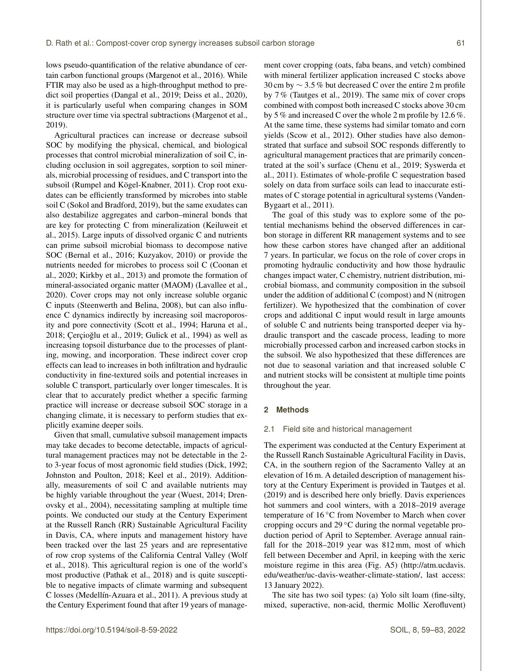lows pseudo-quantification of the relative abundance of certain carbon functional groups (Margenot et al., 2016). While FTIR may also be used as a high-throughput method to predict soil properties (Dangal et al., 2019; Deiss et al., 2020), it is particularly useful when comparing changes in SOM structure over time via spectral subtractions (Margenot et al., 2019).

Agricultural practices can increase or decrease subsoil SOC by modifying the physical, chemical, and biological processes that control microbial mineralization of soil C, including occlusion in soil aggregates, sorption to soil minerals, microbial processing of residues, and C transport into the subsoil (Rumpel and Kögel-Knabner, 2011). Crop root exudates can be efficiently transformed by microbes into stable soil C (Sokol and Bradford, 2019), but the same exudates can also destabilize aggregates and carbon–mineral bonds that are key for protecting C from mineralization (Keiluweit et al., 2015). Large inputs of dissolved organic C and nutrients can prime subsoil microbial biomass to decompose native SOC (Bernal et al., 2016; Kuzyakov, 2010) or provide the nutrients needed for microbes to process soil C (Coonan et al., 2020; Kirkby et al., 2013) and promote the formation of mineral-associated organic matter (MAOM) (Lavallee et al., 2020). Cover crops may not only increase soluble organic C inputs (Steenwerth and Belina, 2008), but can also influence C dynamics indirectly by increasing soil macroporosity and pore connectivity (Scott et al., 1994; Haruna et al., 2018; Çerçioglu et al., 2019; Gulick et al., 1994) as well as ˘ increasing topsoil disturbance due to the processes of planting, mowing, and incorporation. These indirect cover crop effects can lead to increases in both infiltration and hydraulic conductivity in fine-textured soils and potential increases in soluble C transport, particularly over longer timescales. It is clear that to accurately predict whether a specific farming practice will increase or decrease subsoil SOC storage in a changing climate, it is necessary to perform studies that explicitly examine deeper soils.

Given that small, cumulative subsoil management impacts may take decades to become detectable, impacts of agricultural management practices may not be detectable in the 2 to 3-year focus of most agronomic field studies (Dick, 1992; Johnston and Poulton, 2018; Keel et al., 2019). Additionally, measurements of soil C and available nutrients may be highly variable throughout the year (Wuest, 2014; Drenovsky et al., 2004), necessitating sampling at multiple time points. We conducted our study at the Century Experiment at the Russell Ranch (RR) Sustainable Agricultural Facility in Davis, CA, where inputs and management history have been tracked over the last 25 years and are representative of row crop systems of the California Central Valley (Wolf et al., 2018). This agricultural region is one of the world's most productive (Pathak et al., 2018) and is quite susceptible to negative impacts of climate warming and subsequent C losses (Medellín-Azuara et al., 2011). A previous study at the Century Experiment found that after 19 years of management cover cropping (oats, faba beans, and vetch) combined with mineral fertilizer application increased C stocks above 30 cm by  $\sim$  3.5 % but decreased C over the entire 2 m profile by 7 % (Tautges et al., 2019). The same mix of cover crops combined with compost both increased C stocks above 30 cm by 5 % and increased C over the whole 2 m profile by 12.6 %. At the same time, these systems had similar tomato and corn yields (Scow et al., 2012). Other studies have also demonstrated that surface and subsoil SOC responds differently to agricultural management practices that are primarily concentrated at the soil's surface (Chenu et al., 2019; Syswerda et al., 2011). Estimates of whole-profile C sequestration based solely on data from surface soils can lead to inaccurate estimates of C storage potential in agricultural systems (Vanden-Bygaart et al., 2011).

The goal of this study was to explore some of the potential mechanisms behind the observed differences in carbon storage in different RR management systems and to see how these carbon stores have changed after an additional 7 years. In particular, we focus on the role of cover crops in promoting hydraulic conductivity and how those hydraulic changes impact water, C chemistry, nutrient distribution, microbial biomass, and community composition in the subsoil under the addition of additional C (compost) and N (nitrogen fertilizer). We hypothesized that the combination of cover crops and additional C input would result in large amounts of soluble C and nutrients being transported deeper via hydraulic transport and the cascade process, leading to more microbially processed carbon and increased carbon stocks in the subsoil. We also hypothesized that these differences are not due to seasonal variation and that increased soluble C and nutrient stocks will be consistent at multiple time points throughout the year.

## **2 Methods**

#### 2.1 Field site and historical management

The experiment was conducted at the Century Experiment at the Russell Ranch Sustainable Agricultural Facility in Davis, CA, in the southern region of the Sacramento Valley at an elevation of 16 m. A detailed description of management history at the Century Experiment is provided in Tautges et al. (2019) and is described here only briefly. Davis experiences hot summers and cool winters, with a 2018–2019 average temperature of 16 ◦C from November to March when cover cropping occurs and 29 ◦C during the normal vegetable production period of April to September. Average annual rainfall for the 2018–2019 year was 812 mm, most of which fell between December and April, in keeping with the xeric moisture regime in this area (Fig. A5) [\(http://atm.ucdavis.](http://atm.ucdavis.edu/weather/uc-davis-weather-climate-station/) [edu/weather/uc-davis-weather-climate-station/,](http://atm.ucdavis.edu/weather/uc-davis-weather-climate-station/) last access: 13 January 2022).

The site has two soil types: (a) Yolo silt loam (fine-silty, mixed, superactive, non-acid, thermic Mollic Xerofluvent)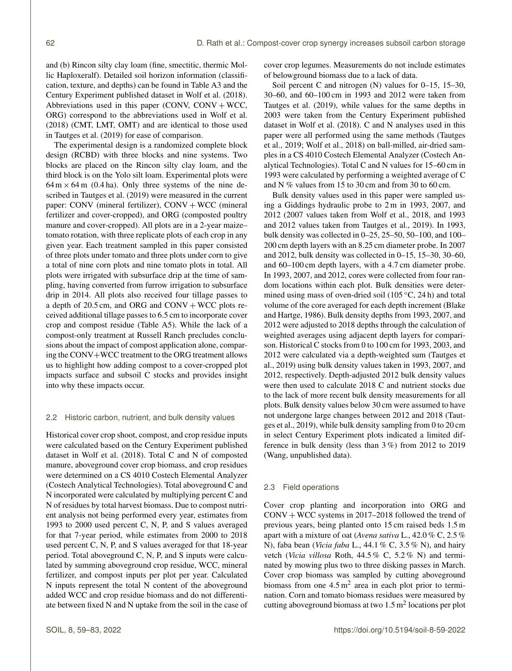and (b) Rincon silty clay loam (fine, smectitic, thermic Mollic Haploxeralf). Detailed soil horizon information (classification, texture, and depths) can be found in Table A3 and the Century Experiment published dataset in Wolf et al. (2018). Abbreviations used in this paper (CONV,  $CONV + WCC$ , ORG) correspond to the abbreviations used in Wolf et al. (2018) (CMT, LMT, OMT) and are identical to those used in Tautges et al. (2019) for ease of comparison.

The experimental design is a randomized complete block design (RCBD) with three blocks and nine systems. Two blocks are placed on the Rincon silty clay loam, and the third block is on the Yolo silt loam. Experimental plots were  $64 \text{ m} \times 64 \text{ m}$  (0.4 ha). Only three systems of the nine described in Tautges et al. (2019) were measured in the current paper: CONV (mineral fertilizer),  $CONV + WCC$  (mineral fertilizer and cover-cropped), and ORG (composted poultry manure and cover-cropped). All plots are in a 2-year maize– tomato rotation, with three replicate plots of each crop in any given year. Each treatment sampled in this paper consisted of three plots under tomato and three plots under corn to give a total of nine corn plots and nine tomato plots in total. All plots were irrigated with subsurface drip at the time of sampling, having converted from furrow irrigation to subsurface drip in 2014. All plots also received four tillage passes to a depth of  $20.5$  cm, and ORG and CONV + WCC plots received additional tillage passes to 6.5 cm to incorporate cover crop and compost residue (Table A5). While the lack of a compost-only treatment at Russell Ranch precludes conclusions about the impact of compost application alone, comparing the CONV+WCC treatment to the ORG treatment allows us to highlight how adding compost to a cover-cropped plot impacts surface and subsoil C stocks and provides insight into why these impacts occur.

## 2.2 Historic carbon, nutrient, and bulk density values

Historical cover crop shoot, compost, and crop residue inputs were calculated based on the Century Experiment published dataset in Wolf et al. (2018). Total C and N of composted manure, aboveground cover crop biomass, and crop residues were determined on a CS 4010 Costech Elemental Analyzer (Costech Analytical Technologies). Total aboveground C and N incorporated were calculated by multiplying percent C and N of residues by total harvest biomass. Due to compost nutrient analysis not being performed every year, estimates from 1993 to 2000 used percent C, N, P, and S values averaged for that 7-year period, while estimates from 2000 to 2018 used percent C, N, P, and S values averaged for that 18-year period. Total aboveground C, N, P, and S inputs were calculated by summing aboveground crop residue, WCC, mineral fertilizer, and compost inputs per plot per year. Calculated N inputs represent the total N content of the aboveground added WCC and crop residue biomass and do not differentiate between fixed N and N uptake from the soil in the case of cover crop legumes. Measurements do not include estimates of belowground biomass due to a lack of data.

Soil percent C and nitrogen (N) values for 0–15, 15–30, 30–60, and 60–100 cm in 1993 and 2012 were taken from Tautges et al. (2019), while values for the same depths in 2003 were taken from the Century Experiment published dataset in Wolf et al. (2018). C and N analyses used in this paper were all performed using the same methods (Tautges et al., 2019; Wolf et al., 2018) on ball-milled, air-dried samples in a CS 4010 Costech Elemental Analyzer (Costech Analytical Technologies). Total C and N values for 15–60 cm in 1993 were calculated by performing a weighted average of C and N % values from 15 to 30 cm and from 30 to 60 cm.

Bulk density values used in this paper were sampled using a Giddings hydraulic probe to 2 m in 1993, 2007, and 2012 (2007 values taken from Wolf et al., 2018, and 1993 and 2012 values taken from Tautges et al., 2019). In 1993, bulk density was collected in 0–25, 25–50, 50–100, and 100– 200 cm depth layers with an 8.25 cm diameter probe. In 2007 and 2012, bulk density was collected in 0–15, 15–30, 30–60, and 60–100 cm depth layers, with a 4.7 cm diameter probe. In 1993, 2007, and 2012, cores were collected from four random locations within each plot. Bulk densities were determined using mass of oven-dried soil (105  $°C$ , 24 h) and total volume of the core averaged for each depth increment (Blake and Hartge, 1986). Bulk density depths from 1993, 2007, and 2012 were adjusted to 2018 depths through the calculation of weighted averages using adjacent depth layers for comparison. Historical C stocks from 0 to 100 cm for 1993, 2003, and 2012 were calculated via a depth-weighted sum (Tautges et al., 2019) using bulk density values taken in 1993, 2007, and 2012, respectively. Depth-adjusted 2012 bulk density values were then used to calculate 2018 C and nutrient stocks due to the lack of more recent bulk density measurements for all plots. Bulk density values below 30 cm were assumed to have not undergone large changes between 2012 and 2018 (Tautges et al., 2019), while bulk density sampling from 0 to 20 cm in select Century Experiment plots indicated a limited difference in bulk density (less than 3 %) from 2012 to 2019 (Wang, unpublished data).

## 2.3 Field operations

Cover crop planting and incorporation into ORG and  $CONV + WCC$  systems in 2017–2018 followed the trend of previous years, being planted onto 15 cm raised beds 1.5 m apart with a mixture of oat (*Avena sativa* L., 42.0 % C, 2.5 % N), faba bean (*Vicia faba* L., 44.1 % C, 3.5 % N), and hairy vetch (*Vicia villosa* Roth, 44.5 % C, 5.2 % N) and terminated by mowing plus two to three disking passes in March. Cover crop biomass was sampled by cutting aboveground biomass from one  $4.5 \text{ m}^2$  area in each plot prior to termination. Corn and tomato biomass residues were measured by cutting aboveground biomass at two  $1.5 \text{ m}^2$  locations per plot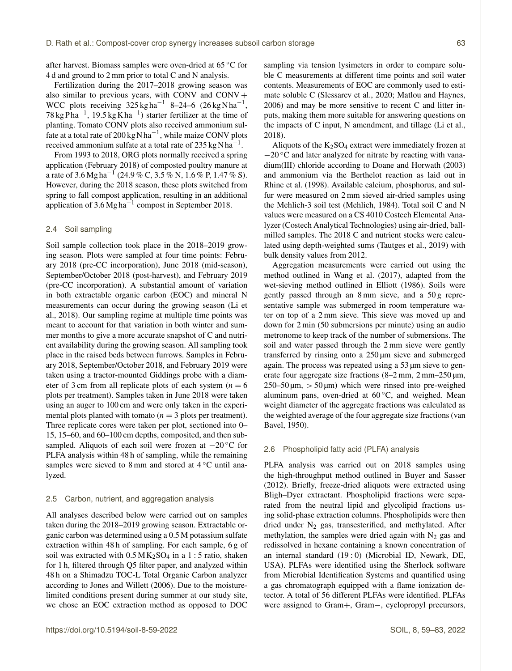after harvest. Biomass samples were oven-dried at 65 ◦C for 4 d and ground to 2 mm prior to total C and N analysis.

Fertilization during the 2017–2018 growing season was also similar to previous years, with CONV and CONV + WCC plots receiving  $325 \text{ kg} \text{ ha}^{-1}$  8–24–6  $(26 \text{ kg} \text{ N} \text{ ha}^{-1},$ 78 kg Pha<sup>-1</sup>, 19.5 kg K ha<sup>-1</sup>) starter fertilizer at the time of planting. Tomato CONV plots also received ammonium sulfate at a total rate of 200 kg N ha<sup>-1</sup>, while maize CONV plots received ammonium sulfate at a total rate of 235 kg N ha<sup>-1</sup>.

From 1993 to 2018, ORG plots normally received a spring application (February 2018) of composted poultry manure at a rate of 3.6 Mg ha<sup>-1</sup> (24.9 % C, 3.5 % N, 1.6 % P, 1.47 % S). However, during the 2018 season, these plots switched from spring to fall compost application, resulting in an additional application of  $3.6$  Mg ha<sup>-1</sup> compost in September 2018.

#### 2.4 Soil sampling

Soil sample collection took place in the 2018–2019 growing season. Plots were sampled at four time points: February 2018 (pre-CC incorporation), June 2018 (mid-season), September/October 2018 (post-harvest), and February 2019 (pre-CC incorporation). A substantial amount of variation in both extractable organic carbon (EOC) and mineral N measurements can occur during the growing season (Li et al., 2018). Our sampling regime at multiple time points was meant to account for that variation in both winter and summer months to give a more accurate snapshot of C and nutrient availability during the growing season. All sampling took place in the raised beds between furrows. Samples in February 2018, September/October 2018, and February 2019 were taken using a tractor-mounted Giddings probe with a diameter of 3 cm from all replicate plots of each system ( $n = 6$ ) plots per treatment). Samples taken in June 2018 were taken using an auger to 100 cm and were only taken in the experimental plots planted with tomato  $(n = 3$  plots per treatment). Three replicate cores were taken per plot, sectioned into 0– 15, 15–60, and 60–100 cm depths, composited, and then subsampled. Aliquots of each soil were frozen at −20 °C for PLFA analysis within 48 h of sampling, while the remaining samples were sieved to 8 mm and stored at  $4^{\circ}$ C until analyzed.

#### 2.5 Carbon, nutrient, and aggregation analysis

All analyses described below were carried out on samples taken during the 2018–2019 growing season. Extractable organic carbon was determined using a 0.5 M potassium sulfate extraction within 48 h of sampling. For each sample, 6 g of soil was extracted with  $0.5$  MK<sub>2</sub>SO<sub>4</sub> in a 1 : 5 ratio, shaken for 1 h, filtered through Q5 filter paper, and analyzed within 48 h on a Shimadzu TOC-L Total Organic Carbon analyzer according to Jones and Willett (2006). Due to the moisturelimited conditions present during summer at our study site, we chose an EOC extraction method as opposed to DOC sampling via tension lysimeters in order to compare soluble C measurements at different time points and soil water contents. Measurements of EOC are commonly used to estimate soluble C (Slessarev et al., 2020; Matlou and Haynes, 2006) and may be more sensitive to recent C and litter inputs, making them more suitable for answering questions on the impacts of C input, N amendment, and tillage (Li et al., 2018).

Aliquots of the  $K_2SO_4$  extract were immediately frozen at  $-20$  °C and later analyzed for nitrate by reacting with vanadium(III) chloride according to Doane and Horwath (2003) and ammonium via the Berthelot reaction as laid out in Rhine et al. (1998). Available calcium, phosphorus, and sulfur were measured on 2 mm sieved air-dried samples using the Mehlich-3 soil test (Mehlich, 1984). Total soil C and N values were measured on a CS 4010 Costech Elemental Analyzer (Costech Analytical Technologies) using air-dried, ballmilled samples. The 2018 C and nutrient stocks were calculated using depth-weighted sums (Tautges et al., 2019) with bulk density values from 2012.

Aggregation measurements were carried out using the method outlined in Wang et al. (2017), adapted from the wet-sieving method outlined in Elliott (1986). Soils were gently passed through an 8 mm sieve, and a 50 g representative sample was submerged in room temperature water on top of a 2 mm sieve. This sieve was moved up and down for 2 min (50 submersions per minute) using an audio metronome to keep track of the number of submersions. The soil and water passed through the 2 mm sieve were gently transferred by rinsing onto a 250 µm sieve and submerged again. The process was repeated using a 53 µm sieve to generate four aggregate size fractions (8–2 mm, 2 mm–250 µm,  $250-50 \,\mu m$ ,  $> 50 \,\mu m$ ) which were rinsed into pre-weighed aluminum pans, oven-dried at  $60^{\circ}$ C, and weighed. Mean weight diameter of the aggregate fractions was calculated as the weighted average of the four aggregate size fractions (van Bavel, 1950).

## 2.6 Phospholipid fatty acid (PLFA) analysis

PLFA analysis was carried out on 2018 samples using the high-throughput method outlined in Buyer and Sasser (2012). Briefly, freeze-dried aliquots were extracted using Bligh–Dyer extractant. Phospholipid fractions were separated from the neutral lipid and glycolipid fractions using solid-phase extraction columns. Phospholipids were then dried under  $N_2$  gas, transesterified, and methylated. After methylation, the samples were dried again with  $N_2$  gas and redissolved in hexane containing a known concentration of an internal standard (19 : 0) (Microbial ID, Newark, DE, USA). PLFAs were identified using the Sherlock software from Microbial Identification Systems and quantified using a gas chromatograph equipped with a flame ionization detector. A total of 56 different PLFAs were identified. PLFAs were assigned to Gram+, Gram−, cyclopropyl precursors,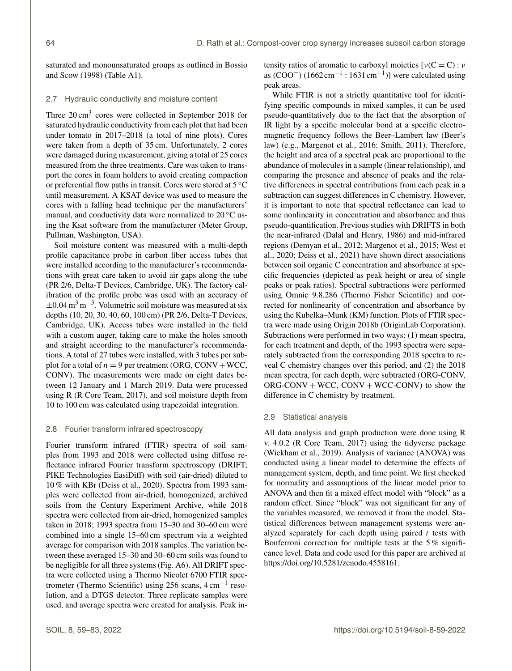saturated and monounsaturated groups as outlined in Bossio and Scow (1998) (Table A1).

## 2.7 Hydraulic conductivity and moisture content

Three 20 cm<sup>3</sup> cores were collected in September 2018 for saturated hydraulic conductivity from each plot that had been under tomato in 2017–2018 (a total of nine plots). Cores were taken from a depth of 35 cm. Unfortunately, 2 cores were damaged during measurement, giving a total of 25 cores measured from the three treatments. Care was taken to transport the cores in foam holders to avoid creating compaction or preferential flow paths in transit. Cores were stored at 5 ◦C until measurement. A KSAT device was used to measure the cores with a falling head technique per the manufacturers' manual, and conductivity data were normalized to  $20^{\circ}$ C using the Ksat software from the manufacturer (Meter Group, Pullman, Washington, USA).

Soil moisture content was measured with a multi-depth profile capacitance probe in carbon fiber access tubes that were installed according to the manufacturer's recommendations with great care taken to avoid air gaps along the tube (PR 2/6, Delta-T Devices, Cambridge, UK). The factory calibration of the profile probe was used with an accuracy of ±0.04 m<sup>3</sup> m−<sup>3</sup> . Volumetric soil moisture was measured at six depths (10, 20, 30, 40, 60, 100 cm) (PR 2/6, Delta-T Devices, Cambridge, UK). Access tubes were installed in the field with a custom auger, taking care to make the holes smooth and straight according to the manufacturer's recommendations. A total of 27 tubes were installed, with 3 tubes per subplot for a total of  $n = 9$  per treatment (ORG, CONV + WCC, CONV). The measurements were made on eight dates between 12 January and 1 March 2019. Data were processed using R (R Core Team, 2017), and soil moisture depth from 10 to 100 cm was calculated using trapezoidal integration.

## 2.8 Fourier transform infrared spectroscopy

Fourier transform infrared (FTIR) spectra of soil samples from 1993 and 2018 were collected using diffuse reflectance infrared Fourier transform spectroscopy (DRIFT; PIKE Technologies EasiDiff) with soil (air-dried) diluted to 10 % with KBr (Deiss et al., 2020). Spectra from 1993 samples were collected from air-dried, homogenized, archived soils from the Century Experiment Archive, while 2018 spectra were collected from air-dried, homogenized samples taken in 2018; 1993 spectra from 15–30 and 30–60 cm were combined into a single 15–60 cm spectrum via a weighted average for comparison with 2018 samples. The variation between these averaged 15–30 and 30–60 cm soils was found to be negligible for all three systems (Fig. A6). All DRIFT spectra were collected using a Thermo Nicolet 6700 FTIR spectrometer (Thermo Scientific) using 256 scans, 4 cm−<sup>1</sup> resolution, and a DTGS detector. Three replicate samples were used, and average spectra were created for analysis. Peak intensity ratios of aromatic to carboxyl moieties  $[v(C = C) : v]$ as (COO<sup>-</sup>) (1662 cm<sup>-1</sup> : 1631 cm<sup>-1</sup>)] were calculated using peak areas.

While FTIR is not a strictly quantitative tool for identifying specific compounds in mixed samples, it can be used pseudo-quantitatively due to the fact that the absorption of IR light by a specific molecular bond at a specific electromagnetic frequency follows the Beer–Lambert law (Beer's law) (e.g., Margenot et al., 2016; Smith, 2011). Therefore, the height and area of a spectral peak are proportional to the abundance of molecules in a sample (linear relationship), and comparing the presence and absence of peaks and the relative differences in spectral contributions from each peak in a subtraction can suggest differences in C chemistry. However, it is important to note that spectral reflectance can lead to some nonlinearity in concentration and absorbance and thus pseudo-quantification. Previous studies with DRIFTS in both the near-infrared (Dalal and Henry, 1986) and mid-infrared regions (Demyan et al., 2012; Margenot et al., 2015; West et al., 2020; Deiss et al., 2021) have shown direct associations between soil organic C concentration and absorbance at specific frequencies (depicted as peak height or area of single peaks or peak ratios). Spectral subtractions were performed using Omnic 9.8.286 (Thermo Fisher Scientific) and corrected for nonlinearity of concentration and absorbance by using the Kubelka–Munk (KM) function. Plots of FTIR spectra were made using Origin 2018b (OriginLab Corporation). Subtractions were performed in two ways: (1) mean spectra, for each treatment and depth, of the 1993 spectra were separately subtracted from the corresponding 2018 spectra to reveal C chemistry changes over this period, and (2) the 2018 mean spectra, for each depth, were subtracted (ORG-CONV,  $ORG-CONV + WCC$ ,  $CONV + WCC-CONV$  to show the difference in C chemistry by treatment.

## 2.9 Statistical analysis

All data analysis and graph production were done using R v. 4.0.2 (R Core Team, 2017) using the tidyverse package (Wickham et al., 2019). Analysis of variance (ANOVA) was conducted using a linear model to determine the effects of management system, depth, and time point. We first checked for normality and assumptions of the linear model prior to ANOVA and then fit a mixed effect model with "block" as a random effect. Since "block" was not significant for any of the variables measured, we removed it from the model. Statistical differences between management systems were analyzed separately for each depth using paired  $t$  tests with Bonferroni correction for multiple tests at the 5 % significance level. Data and code used for this paper are archived at https://doi.org[/10.5281/zenodo.4558161.](https://doi.org/10.5281/zenodo.4558161)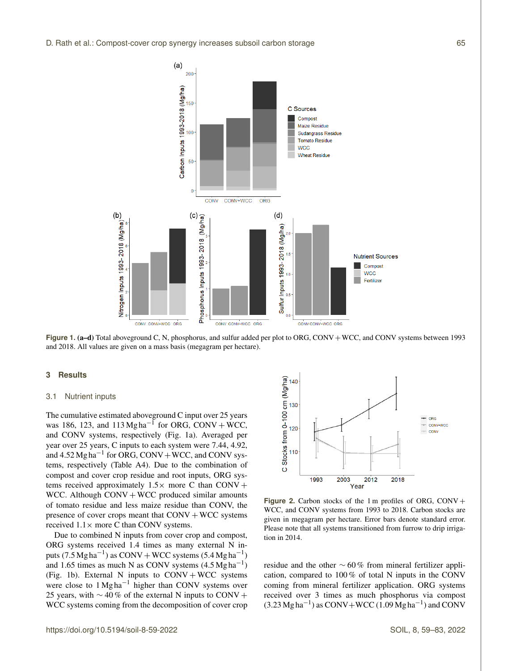

**Figure 1. (a–d)** Total aboveground C, N, phosphorus, and sulfur added per plot to ORG, CONV + WCC, and CONV systems between 1993 and 2018. All values are given on a mass basis (megagram per hectare).

## **3 Results**

## 3.1 Nutrient inputs

The cumulative estimated aboveground C input over 25 years was 186, 123, and  $113 \text{ Mgha}^{-1}$  for ORG, CONV + WCC, and CONV systems, respectively (Fig. 1a). Averaged per year over 25 years, C inputs to each system were 7.44, 4.92, and  $4.52 \text{ Mg} \text{ ha}^{-1}$  for ORG, CONV + WCC, and CONV systems, respectively (Table A4). Due to the combination of compost and cover crop residue and root inputs, ORG systems received approximately  $1.5\times$  more C than CONV + WCC. Although  $CONV + WCC$  produced similar amounts of tomato residue and less maize residue than CONV, the presence of cover crops meant that  $CONV + WCC$  systems received  $1.1 \times$  more C than CONV systems.

Due to combined N inputs from cover crop and compost, ORG systems received 1.4 times as many external N inputs (7.5 Mg ha<sup>-1</sup>) as CONV + WCC systems (5.4 Mg ha<sup>-1</sup>) and 1.65 times as much N as CONV systems  $(4.5 \text{ Mg} \text{ ha}^{-1})$ (Fig. 1b). External N inputs to  $CONV + WCC$  systems were close to 1 Mg ha<sup>-1</sup> higher than CONV systems over 25 years, with  $\sim$  40% of the external N inputs to CONV + WCC systems coming from the decomposition of cover crop



**Figure 2.** Carbon stocks of the 1 m profiles of ORG,  $CONV +$ WCC, and CONV systems from 1993 to 2018. Carbon stocks are given in megagram per hectare. Error bars denote standard error. Please note that all systems transitioned from furrow to drip irrigation in 2014.

residue and the other ∼ 60 % from mineral fertilizer application, compared to 100 % of total N inputs in the CONV coming from mineral fertilizer application. ORG systems received over 3 times as much phosphorus via compost  $(3.23 \text{ Mg ha}^{-1})$  as CONV+WCC  $(1.09 \text{ Mg ha}^{-1})$  and CONV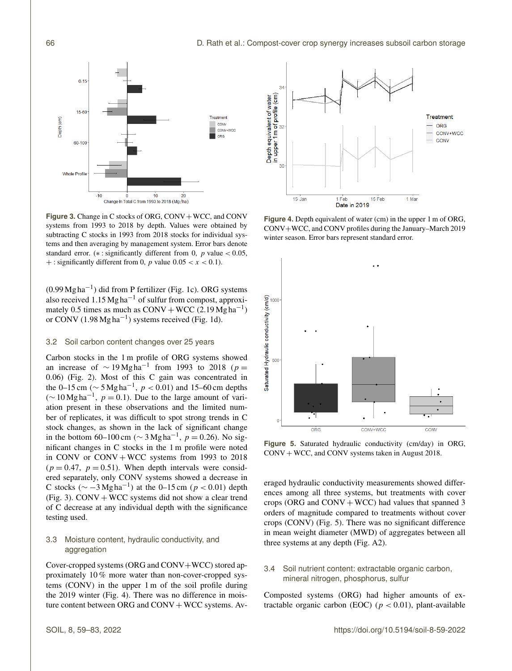

**Figure 3.** Change in C stocks of ORG, CONV + WCC, and CONV systems from 1993 to 2018 by depth. Values were obtained by subtracting C stocks in 1993 from 2018 stocks for individual systems and then averaging by management system. Error bars denote standard error. ( $*$ : significantly different from 0, p value < 0.05, + : significantly different from 0, p value  $0.05 < x < 0.1$ ).

(0.99 Mg ha−<sup>1</sup> ) did from P fertilizer (Fig. 1c). ORG systems also received 1.15 Mg ha−<sup>1</sup> of sulfur from compost, approximately 0.5 times as much as  $COMV + WCC$  (2.19  $Mgha^{-1}$ ) or CONV  $(1.98 \text{ Mg} \text{ ha}^{-1})$  systems received (Fig. 1d).

## 3.2 Soil carbon content changes over 25 years

Carbon stocks in the 1 m profile of ORG systems showed an increase of  $\sim 19 \,\text{Mg} \text{h} \text{a}^{-1}$  from 1993 to 2018 ( $p =$ 0.06) (Fig. 2). Most of this C gain was concentrated in the 0–15 cm ( $\sim$  5 Mg ha<sup>-1</sup>,  $p < 0.01$ ) and 15–60 cm depths  $(\sim 10 \,\text{Mg} \text{ha}^{-1}, p = 0.1)$ . Due to the large amount of variation present in these observations and the limited number of replicates, it was difficult to spot strong trends in C stock changes, as shown in the lack of significant change in the bottom 60–100 cm ( $\sim$  3 Mg ha<sup>-1</sup>, p = 0.26). No significant changes in C stocks in the 1 m profile were noted in CONV or  $CONV + WCC$  systems from 1993 to 2018  $(p = 0.47, p = 0.51)$ . When depth intervals were considered separately, only CONV systems showed a decrease in C stocks ( $\sim$  -3 Mg ha<sup>-1</sup>) at the 0-15 cm ( $p < 0.01$ ) depth (Fig. 3).  $CONV + WCC$  systems did not show a clear trend of C decrease at any individual depth with the significance testing used.

# 3.3 Moisture content, hydraulic conductivity, and aggregation

Cover-cropped systems (ORG and CONV+WCC) stored approximately 10 % more water than non-cover-cropped systems (CONV) in the upper 1 m of the soil profile during the 2019 winter (Fig. 4). There was no difference in moisture content between ORG and  $CONV + WCC$  systems. Av-



**Figure 4.** Depth equivalent of water (cm) in the upper 1 m of ORG, CONV+WCC, and CONV profiles during the January–March 2019 winter season. Error bars represent standard error.



**Figure 5.** Saturated hydraulic conductivity (cm/day) in ORG, CONV + WCC, and CONV systems taken in August 2018.

eraged hydraulic conductivity measurements showed differences among all three systems, but treatments with cover crops (ORG and  $CONV + WCC$ ) had values that spanned 3 orders of magnitude compared to treatments without cover crops (CONV) (Fig. 5). There was no significant difference in mean weight diameter (MWD) of aggregates between all three systems at any depth (Fig. A2).

# 3.4 Soil nutrient content: extractable organic carbon, mineral nitrogen, phosphorus, sulfur

Composted systems (ORG) had higher amounts of extractable organic carbon (EOC) ( $p < 0.01$ ), plant-available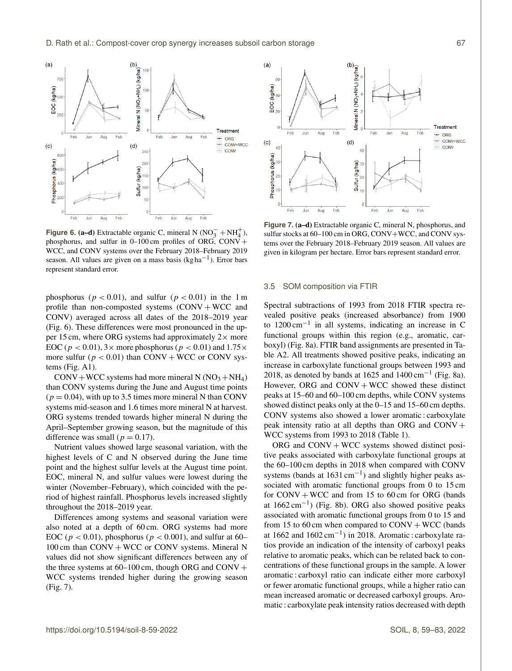

**Figure 6. (a–d)** Extractable organic C, mineral N  $(NO<sub>3</sub><sup>-</sup> + NH<sub>4</sub><sup>+</sup>)$ , phosphorus, and sulfur in  $0-100$  cm profiles of ORG, CONV + WCC, and CONV systems over the February 2018–February 2019 season. All values are given on a mass basis (kg ha−<sup>1</sup> ). Error bars represent standard error.

phosphorus ( $p < 0.01$ ), and sulfur ( $p < 0.01$ ) in the 1 m profile than non-composted systems  $(CONV + WCC)$  and CONV) averaged across all dates of the 2018–2019 year (Fig. 6). These differences were most pronounced in the upper 15 cm, where ORG systems had approximately  $2 \times$  more EOC ( $p < 0.01$ ),  $3 \times$  more phosphorus ( $p < 0.01$ ) and  $1.75 \times$ more sulfur ( $p < 0.01$ ) than CONV + WCC or CONV systems (Fig. A1).

 $CONV+WCC$  systems had more mineral N  $(NO<sub>3</sub>+NH<sub>4</sub>)$ than CONV systems during the June and August time points  $(p = 0.04)$ , with up to 3.5 times more mineral N than CONV systems mid-season and 1.6 times more mineral N at harvest. ORG systems trended towards higher mineral N during the April–September growing season, but the magnitude of this difference was small ( $p = 0.17$ ).

Nutrient values showed large seasonal variation, with the highest levels of C and N observed during the June time point and the highest sulfur levels at the August time point. EOC, mineral N, and sulfur values were lowest during the winter (November–February), which coincided with the period of highest rainfall. Phosphorus levels increased slightly throughout the 2018–2019 year.

Differences among systems and seasonal variation were also noted at a depth of 60 cm. ORG systems had more EOC ( $p < 0.01$ ), phosphorus ( $p < 0.001$ ), and sulfur at 60–  $100 \text{ cm}$  than  $CONV + WCC$  or CONV systems. Mineral N values did not show significant differences between any of the three systems at  $60-100$  cm, though ORG and CONV  $+$ WCC systems trended higher during the growing season (Fig. 7).



**Figure 7.** (a–d) Extractable organic C, mineral N, phosphorus, and sulfur stocks at 60–100 cm in ORG, CONV+WCC, and CONV systems over the February 2018–February 2019 season. All values are given in kilogram per hectare. Error bars represent standard error.

#### 3.5 SOM composition via FTIR

Spectral subtractions of 1993 from 2018 FTIR spectra revealed positive peaks (increased absorbance) from 1900 to 1200 cm−<sup>1</sup> in all systems, indicating an increase in C functional groups within this region (e.g., aromatic, carboxyl) (Fig. 8a). FTIR band assignments are presented in Table A2. All treatments showed positive peaks, indicating an increase in carboxylate functional groups between 1993 and 2018, as denoted by bands at 1625 and  $1400 \text{ cm}^{-1}$  (Fig. 8a). However, ORG and  $CONV + WCC$  showed these distinct peaks at 15–60 and 60–100 cm depths, while CONV systems showed distinct peaks only at the 0–15 and 15–60 cm depths. CONV systems also showed a lower aromatic : carboxylate peak intensity ratio at all depths than ORG and CONV + WCC systems from 1993 to 2018 (Table 1).

ORG and  $CONV + WCC$  systems showed distinct positive peaks associated with carboxylate functional groups at the 60–100 cm depths in 2018 when compared with CONV systems (bands at  $1631 \text{ cm}^{-1}$ ) and slightly higher peaks associated with aromatic functional groups from 0 to 15 cm for  $CONV + WCC$  and from 15 to 60 cm for ORG (bands at 1662 cm−<sup>1</sup> ) (Fig. 8b). ORG also showed positive peaks associated with aromatic functional groups from 0 to 15 and from 15 to 60 cm when compared to  $CONV + WCC$  (bands at 1662 and 1602 cm−<sup>1</sup> ) in 2018. Aromatic : carboxylate ratios provide an indication of the intensity of carboxyl peaks relative to aromatic peaks, which can be related back to concentrations of these functional groups in the sample. A lower aromatic : carboxyl ratio can indicate either more carboxyl or fewer aromatic functional groups, while a higher ratio can mean increased aromatic or decreased carboxyl groups. Aromatic : carboxylate peak intensity ratios decreased with depth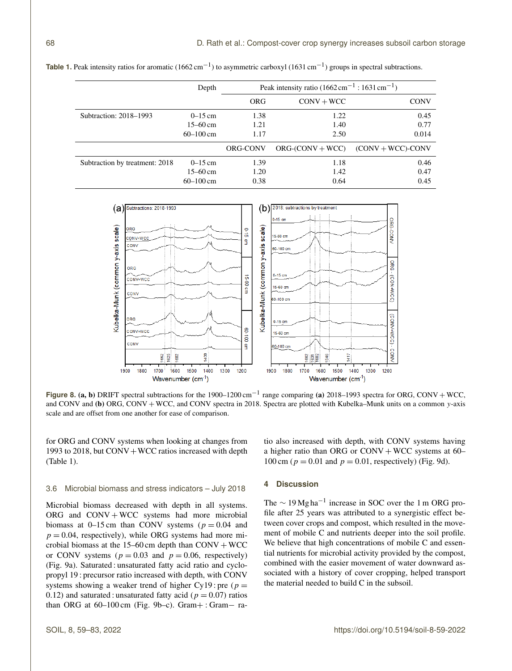|                                | Depth         | Peak intensity ratio $(1662 \text{ cm}^{-1} : 1631 \text{ cm}^{-1})$ |                    |                      |
|--------------------------------|---------------|----------------------------------------------------------------------|--------------------|----------------------|
|                                |               | ORG                                                                  | $CONV + WCC$       | <b>CONV</b>          |
| Subtraction: 2018–1993         | $0 - 15$ cm   | 1.38                                                                 | 1.22               | 0.45                 |
|                                | $15 - 60$ cm  | 1.21                                                                 | 1.40               | 0.77                 |
|                                | $60 - 100$ cm | 1.17                                                                 | 2.50               | 0.014                |
|                                |               | ORG-CONV                                                             | $ORG-(CONV + WCC)$ | $(CONV + WCC)$ -CONV |
| Subtraction by treatment: 2018 | $0 - 15$ cm   | 1.39                                                                 | 1.18               | 0.46                 |
|                                | $15 - 60$ cm  | 1.20                                                                 | 1.42               | 0.47                 |
|                                | $60 - 100$ cm | 0.38                                                                 | 0.64               | 0.45                 |

Table 1. Peak intensity ratios for aromatic (1662 cm<sup>-1</sup>) to asymmetric carboxyl (1631 cm<sup>-1</sup>) groups in spectral subtractions.



**Figure 8. (a, b)** DRIFT spectral subtractions for the 1900–1200 cm<sup>-1</sup> range comparing (a) 2018–1993 spectra for ORG, CONV + WCC, and CONV and (b) ORG, CONV + WCC, and CONV spectra in 2018. Spectra are plotted with Kubelka–Munk units on a common y-axis scale and are offset from one another for ease of comparison.

for ORG and CONV systems when looking at changes from 1993 to 2018, but  $CONV+WCC$  ratios increased with depth (Table 1).

tio also increased with depth, with CONV systems having a higher ratio than ORG or  $CONV + WCC$  systems at 60– 100 cm ( $p = 0.01$  and  $p = 0.01$ , respectively) (Fig. 9d).

## 3.6 Microbial biomass and stress indicators – July 2018

Microbial biomass decreased with depth in all systems. ORG and  $CONV + WCC$  systems had more microbial biomass at 0–15 cm than CONV systems ( $p = 0.04$  and  $p = 0.04$ , respectively), while ORG systems had more microbial biomass at the  $15-60$  cm depth than CONV + WCC or CONV systems ( $p = 0.03$  and  $p = 0.06$ , respectively) (Fig. 9a). Saturated : unsaturated fatty acid ratio and cyclopropyl 19 : precursor ratio increased with depth, with CONV systems showing a weaker trend of higher Cy19 : pre ( $p =$ 0.12) and saturated : unsaturated fatty acid ( $p = 0.07$ ) ratios than ORG at  $60-100$  cm (Fig. 9b–c). Gram+ : Gram– ra-

## **4 Discussion**

The  $\sim$  19 Mg ha<sup>-1</sup> increase in SOC over the 1 m ORG profile after 25 years was attributed to a synergistic effect between cover crops and compost, which resulted in the movement of mobile C and nutrients deeper into the soil profile. We believe that high concentrations of mobile C and essential nutrients for microbial activity provided by the compost, combined with the easier movement of water downward associated with a history of cover cropping, helped transport the material needed to build C in the subsoil.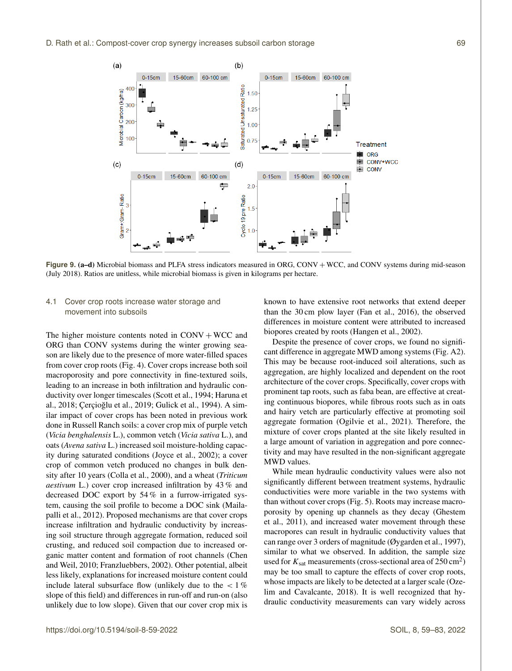

**Figure 9. (a–d)** Microbial biomass and PLFA stress indicators measured in ORG, CONV + WCC, and CONV systems during mid-season (July 2018). Ratios are unitless, while microbial biomass is given in kilograms per hectare.

## 4.1 Cover crop roots increase water storage and movement into subsoils

The higher moisture contents noted in  $CONV + WCC$  and ORG than CONV systems during the winter growing season are likely due to the presence of more water-filled spaces from cover crop roots (Fig. 4). Cover crops increase both soil macroporosity and pore connectivity in fine-textured soils, leading to an increase in both infiltration and hydraulic conductivity over longer timescales (Scott et al., 1994; Haruna et al., 2018; Çerçioğlu et al., 2019; Gulick et al., 1994). A similar impact of cover crops has been noted in previous work done in Russell Ranch soils: a cover crop mix of purple vetch (*Vicia benghalensis* L.), common vetch (*Vicia sativa* L.), and oats (*Avena sativa* L.) increased soil moisture-holding capacity during saturated conditions (Joyce et al., 2002); a cover crop of common vetch produced no changes in bulk density after 10 years (Colla et al., 2000), and a wheat (*Triticum aestivum* L.) cover crop increased infiltration by 43 % and decreased DOC export by 54 % in a furrow-irrigated system, causing the soil profile to become a DOC sink (Mailapalli et al., 2012). Proposed mechanisms are that cover crops increase infiltration and hydraulic conductivity by increasing soil structure through aggregate formation, reduced soil crusting, and reduced soil compaction due to increased organic matter content and formation of root channels (Chen and Weil, 2010; Franzluebbers, 2002). Other potential, albeit less likely, explanations for increased moisture content could include lateral subsurface flow (unlikely due to the  $\lt 1\%$ slope of this field) and differences in run-off and run-on (also unlikely due to low slope). Given that our cover crop mix is known to have extensive root networks that extend deeper than the 30 cm plow layer (Fan et al., 2016), the observed differences in moisture content were attributed to increased biopores created by roots (Hangen et al., 2002).

Despite the presence of cover crops, we found no significant difference in aggregate MWD among systems (Fig. A2). This may be because root-induced soil alterations, such as aggregation, are highly localized and dependent on the root architecture of the cover crops. Specifically, cover crops with prominent tap roots, such as faba bean, are effective at creating continuous biopores, while fibrous roots such as in oats and hairy vetch are particularly effective at promoting soil aggregate formation (Ogilvie et al., 2021). Therefore, the mixture of cover crops planted at the site likely resulted in a large amount of variation in aggregation and pore connectivity and may have resulted in the non-significant aggregate MWD values.

While mean hydraulic conductivity values were also not significantly different between treatment systems, hydraulic conductivities were more variable in the two systems with than without cover crops (Fig. 5). Roots may increase macroporosity by opening up channels as they decay (Ghestem et al., 2011), and increased water movement through these macropores can result in hydraulic conductivity values that can range over 3 orders of magnitude (Øygarden et al., 1997), similar to what we observed. In addition, the sample size used for  $K_{\text{sat}}$  measurements (cross-sectional area of 250 cm<sup>2</sup>) may be too small to capture the effects of cover crop roots, whose impacts are likely to be detected at a larger scale (Ozelim and Cavalcante, 2018). It is well recognized that hydraulic conductivity measurements can vary widely across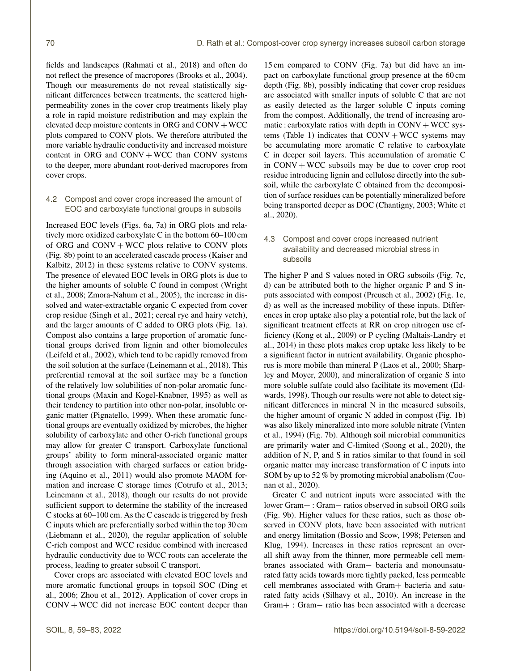fields and landscapes (Rahmati et al., 2018) and often do not reflect the presence of macropores (Brooks et al., 2004). Though our measurements do not reveal statistically significant differences between treatments, the scattered highpermeability zones in the cover crop treatments likely play a role in rapid moisture redistribution and may explain the elevated deep moisture contents in ORG and CONV+WCC plots compared to CONV plots. We therefore attributed the more variable hydraulic conductivity and increased moisture content in ORG and  $CONV + WCC$  than CONV systems to the deeper, more abundant root-derived macropores from cover crops.

## 4.2 Compost and cover crops increased the amount of EOC and carboxylate functional groups in subsoils

Increased EOC levels (Figs. 6a, 7a) in ORG plots and relatively more oxidized carboxylate C in the bottom 60–100 cm of ORG and  $CONV + WCC$  plots relative to CONV plots (Fig. 8b) point to an accelerated cascade process (Kaiser and Kalbitz, 2012) in these systems relative to CONV systems. The presence of elevated EOC levels in ORG plots is due to the higher amounts of soluble C found in compost (Wright et al., 2008; Zmora-Nahum et al., 2005), the increase in dissolved and water-extractable organic C expected from cover crop residue (Singh et al., 2021; cereal rye and hairy vetch), and the larger amounts of C added to ORG plots (Fig. 1a). Compost also contains a large proportion of aromatic functional groups derived from lignin and other biomolecules (Leifeld et al., 2002), which tend to be rapidly removed from the soil solution at the surface (Leinemann et al., 2018). This preferential removal at the soil surface may be a function of the relatively low solubilities of non-polar aromatic functional groups (Maxin and Kogel-Knabner, 1995) as well as their tendency to partition into other non-polar, insoluble organic matter (Pignatello, 1999). When these aromatic functional groups are eventually oxidized by microbes, the higher solubility of carboxylate and other O-rich functional groups may allow for greater C transport. Carboxylate functional groups' ability to form mineral-associated organic matter through association with charged surfaces or cation bridging (Aquino et al., 2011) would also promote MAOM formation and increase C storage times (Cotrufo et al., 2013; Leinemann et al., 2018), though our results do not provide sufficient support to determine the stability of the increased C stocks at 60–100 cm. As the C cascade is triggered by fresh C inputs which are preferentially sorbed within the top 30 cm (Liebmann et al., 2020), the regular application of soluble C-rich compost and WCC residue combined with increased hydraulic conductivity due to WCC roots can accelerate the process, leading to greater subsoil C transport.

Cover crops are associated with elevated EOC levels and more aromatic functional groups in topsoil SOC (Ding et al., 2006; Zhou et al., 2012). Application of cover crops in  $CONV + WCC$  did not increase EOC content deeper than

15 cm compared to CONV (Fig. 7a) but did have an impact on carboxylate functional group presence at the 60 cm depth (Fig. 8b), possibly indicating that cover crop residues are associated with smaller inputs of soluble C that are not as easily detected as the larger soluble C inputs coming from the compost. Additionally, the trend of increasing aromatic : carboxylate ratios with depth in  $CONV + WCC$  systems (Table 1) indicates that  $CONV + WCC$  systems may be accumulating more aromatic C relative to carboxylate C in deeper soil layers. This accumulation of aromatic C in  $CONV + WCC$  subsoils may be due to cover crop root residue introducing lignin and cellulose directly into the subsoil, while the carboxylate C obtained from the decomposition of surface residues can be potentially mineralized before being transported deeper as DOC (Chantigny, 2003; White et al., 2020).

# 4.3 Compost and cover crops increased nutrient availability and decreased microbial stress in subsoils

The higher P and S values noted in ORG subsoils (Fig. 7c, d) can be attributed both to the higher organic P and S inputs associated with compost (Preusch et al., 2002) (Fig. 1c, d) as well as the increased mobility of these inputs. Differences in crop uptake also play a potential role, but the lack of significant treatment effects at RR on crop nitrogen use efficiency (Kong et al., 2009) or P cycling (Maltais-Landry et al., 2014) in these plots makes crop uptake less likely to be a significant factor in nutrient availability. Organic phosphorus is more mobile than mineral P (Laos et al., 2000; Sharpley and Moyer, 2000), and mineralization of organic S into more soluble sulfate could also facilitate its movement (Edwards, 1998). Though our results were not able to detect significant differences in mineral N in the measured subsoils, the higher amount of organic N added in compost (Fig. 1b) was also likely mineralized into more soluble nitrate (Vinten et al., 1994) (Fig. 7b). Although soil microbial communities are primarily water and C-limited (Soong et al., 2020), the addition of N, P, and S in ratios similar to that found in soil organic matter may increase transformation of C inputs into SOM by up to 52 % by promoting microbial anabolism (Coonan et al., 2020).

Greater C and nutrient inputs were associated with the lower Gram+ : Gram− ratios observed in subsoil ORG soils (Fig. 9b). Higher values for these ratios, such as those observed in CONV plots, have been associated with nutrient and energy limitation (Bossio and Scow, 1998; Petersen and Klug, 1994). Increases in these ratios represent an overall shift away from the thinner, more permeable cell membranes associated with Gram− bacteria and monounsaturated fatty acids towards more tightly packed, less permeable cell membranes associated with Gram+ bacteria and saturated fatty acids (Silhavy et al., 2010). An increase in the Gram+ : Gram− ratio has been associated with a decrease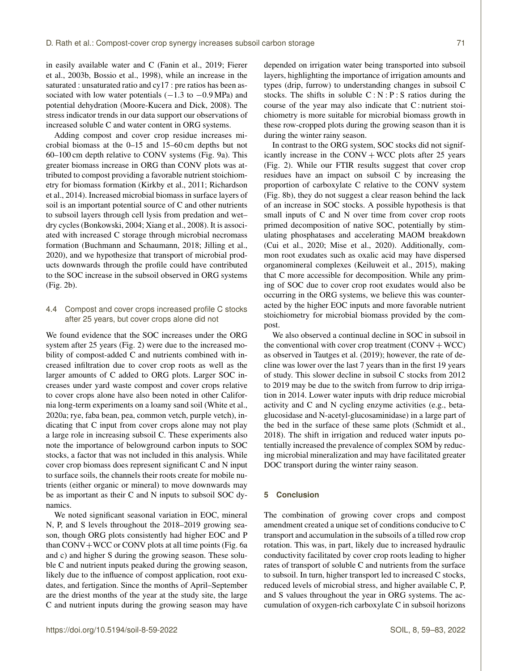in easily available water and C (Fanin et al., 2019; Fierer et al., 2003b, Bossio et al., 1998), while an increase in the saturated : unsaturated ratio and cy17 : pre ratios has been associated with low water potentials  $(-1.3 \text{ to } -0.9 \text{ MPa})$  and potential dehydration (Moore-Kucera and Dick, 2008). The stress indicator trends in our data support our observations of increased soluble C and water content in ORG systems.

Adding compost and cover crop residue increases microbial biomass at the 0–15 and 15–60 cm depths but not 60–100 cm depth relative to CONV systems (Fig. 9a). This greater biomass increase in ORG than CONV plots was attributed to compost providing a favorable nutrient stoichiometry for biomass formation (Kirkby et al., 2011; Richardson et al., 2014). Increased microbial biomass in surface layers of soil is an important potential source of C and other nutrients to subsoil layers through cell lysis from predation and wet– dry cycles (Bonkowski, 2004; Xiang et al., 2008). It is associated with increased C storage through microbial necromass formation (Buchmann and Schaumann, 2018; Jilling et al., 2020), and we hypothesize that transport of microbial products downwards through the profile could have contributed to the SOC increase in the subsoil observed in ORG systems (Fig. 2b).

# 4.4 Compost and cover crops increased profile C stocks after 25 years, but cover crops alone did not

We found evidence that the SOC increases under the ORG system after 25 years (Fig. 2) were due to the increased mobility of compost-added C and nutrients combined with increased infiltration due to cover crop roots as well as the larger amounts of C added to ORG plots. Larger SOC increases under yard waste compost and cover crops relative to cover crops alone have also been noted in other California long-term experiments on a loamy sand soil (White et al., 2020a; rye, faba bean, pea, common vetch, purple vetch), indicating that C input from cover crops alone may not play a large role in increasing subsoil C. These experiments also note the importance of belowground carbon inputs to SOC stocks, a factor that was not included in this analysis. While cover crop biomass does represent significant C and N input to surface soils, the channels their roots create for mobile nutrients (either organic or mineral) to move downwards may be as important as their C and N inputs to subsoil SOC dynamics.

We noted significant seasonal variation in EOC, mineral N, P, and S levels throughout the 2018–2019 growing season, though ORG plots consistently had higher EOC and P than  $CONV+WCC$  or CONV plots at all time points (Fig. 6a and c) and higher S during the growing season. These soluble C and nutrient inputs peaked during the growing season, likely due to the influence of compost application, root exudates, and fertigation. Since the months of April–September are the driest months of the year at the study site, the large C and nutrient inputs during the growing season may have depended on irrigation water being transported into subsoil layers, highlighting the importance of irrigation amounts and types (drip, furrow) to understanding changes in subsoil C stocks. The shifts in soluble  $C : N : P : S$  ratios during the course of the year may also indicate that C : nutrient stoichiometry is more suitable for microbial biomass growth in these row-cropped plots during the growing season than it is during the winter rainy season.

In contrast to the ORG system, SOC stocks did not significantly increase in the CONV  $+$  WCC plots after 25 years (Fig. 2). While our FTIR results suggest that cover crop residues have an impact on subsoil C by increasing the proportion of carboxylate C relative to the CONV system (Fig. 8b), they do not suggest a clear reason behind the lack of an increase in SOC stocks. A possible hypothesis is that small inputs of C and N over time from cover crop roots primed decomposition of native SOC, potentially by stimulating phosphatases and accelerating MAOM breakdown (Cui et al., 2020; Mise et al., 2020). Additionally, common root exudates such as oxalic acid may have dispersed organomineral complexes (Keiluweit et al., 2015), making that C more accessible for decomposition. While any priming of SOC due to cover crop root exudates would also be occurring in the ORG systems, we believe this was counteracted by the higher EOC inputs and more favorable nutrient stoichiometry for microbial biomass provided by the compost.

We also observed a continual decline in SOC in subsoil in the conventional with cover crop treatment  $(CONV + WCC)$ as observed in Tautges et al. (2019); however, the rate of decline was lower over the last 7 years than in the first 19 years of study. This slower decline in subsoil C stocks from 2012 to 2019 may be due to the switch from furrow to drip irrigation in 2014. Lower water inputs with drip reduce microbial activity and C and N cycling enzyme activities (e.g., betaglucosidase and N-acetyl-glucosaminidase) in a large part of the bed in the surface of these same plots (Schmidt et al., 2018). The shift in irrigation and reduced water inputs potentially increased the prevalence of complex SOM by reducing microbial mineralization and may have facilitated greater DOC transport during the winter rainy season.

## **5 Conclusion**

The combination of growing cover crops and compost amendment created a unique set of conditions conducive to C transport and accumulation in the subsoils of a tilled row crop rotation. This was, in part, likely due to increased hydraulic conductivity facilitated by cover crop roots leading to higher rates of transport of soluble C and nutrients from the surface to subsoil. In turn, higher transport led to increased C stocks, reduced levels of microbial stress, and higher available C, P, and S values throughout the year in ORG systems. The accumulation of oxygen-rich carboxylate C in subsoil horizons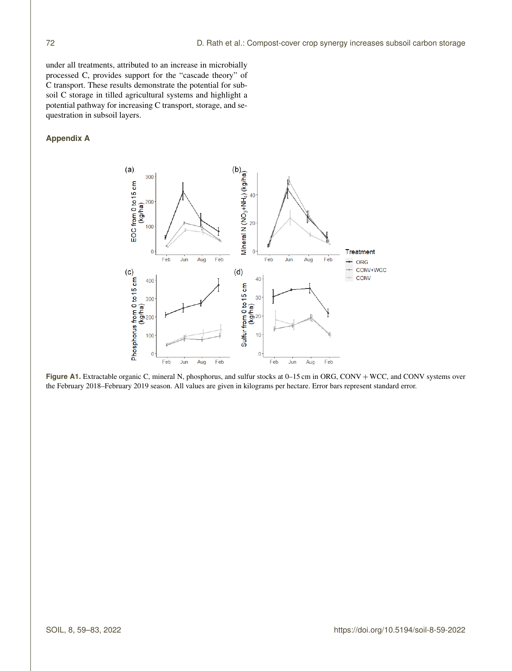under all treatments, attributed to an increase in microbially processed C, provides support for the "cascade theory" of C transport. These results demonstrate the potential for subsoil C storage in tilled agricultural systems and highlight a potential pathway for increasing C transport, storage, and sequestration in subsoil layers.

# **Appendix A**



Figure A1. Extractable organic C, mineral N, phosphorus, and sulfur stocks at 0–15 cm in ORG, CONV + WCC, and CONV systems over the February 2018–February 2019 season. All values are given in kilograms per hectare. Error bars represent standard error.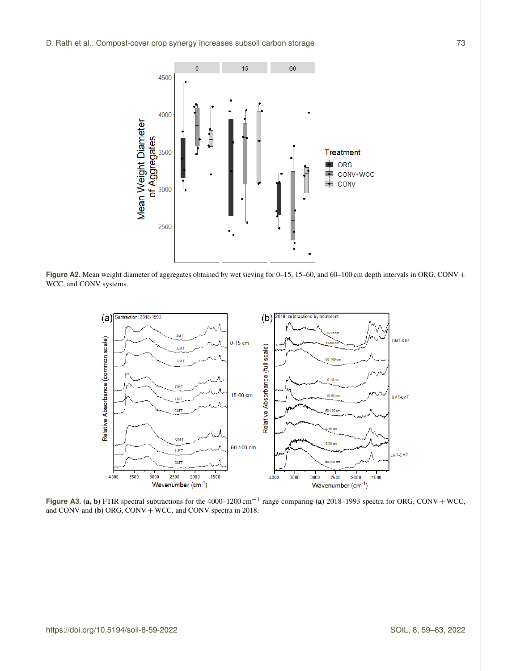

Figure A2. Mean weight diameter of aggregates obtained by wet sieving for 0–15, 15–60, and 60–100 cm depth intervals in ORG, CONV + WCC, and CONV systems.



**Figure A3.** (a, b) FTIR spectral subtractions for the  $4000-1200 \text{ cm}^{-1}$  range comparing (a)  $2018-1993$  spectra for ORG, CONV + WCC, and CONV and (b) ORG, CONV + WCC, and CONV spectra in 2018.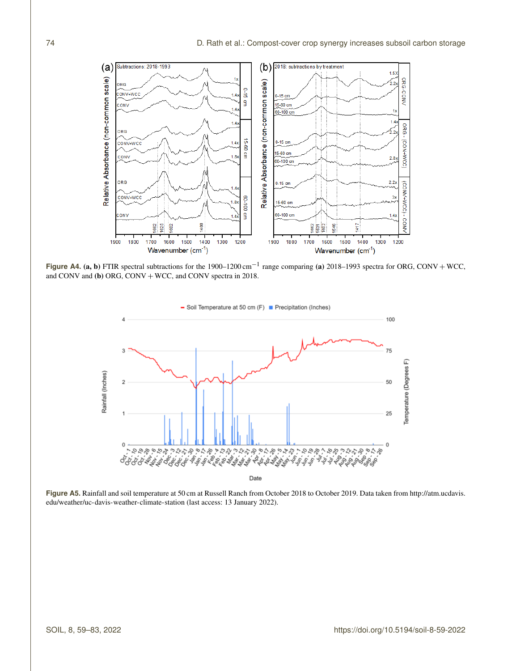$(b)$  2018: subtractions by treatment  $(a)$ Subtractions: 2018-1993 1.5 Ł Relative Absorbance (non-common scale) ORG-CONV Relative Absorbance (non-common scale) ORG 0-15 cm CONV+WCC  $1.4$  $0-15$  cm 15-60 cm CONV 60-100 cn  $14$  $\overline{1.4}$ ORG-(CON+MCC) ORG 15-60 cm  $0-15$  cm CONV+WCC  $1.42$ 15-60 cm CONV  $1.8<sup>2</sup>$  $2.8x$  $60 - 100$  cm ORG  $2.2$  $0-15$  cm (COM/+MCC) - COM/  $\overline{A}$ CONV+WCC 60-100 cm  $3<sub>2</sub>$  $.8$ 15-60 cm CONV 60-100 cm  $\overline{A}$ 400 1417 662 625 ę 85.8 546 1900 1800 1700 1600 1500 1400 1300 1200 1900 1800 1700 1600 1500 1400 1300 1200 Wavenumber (cm-1) Wavenumber (cm<sup>-1</sup>)

**Figure A4. (a, b)** FTIR spectral subtractions for the 1900–1200 cm<sup>-1</sup> range comparing (a) 2018–1993 spectra for ORG, CONV + WCC, and CONV and (b) ORG, CONV + WCC, and CONV spectra in 2018.



**Figure A5.** Rainfall and soil temperature at 50 cm at Russell Ranch from October 2018 to October 2019. Data taken from [http://atm.ucdavis.](http://atm.ucdavis.edu/weather/uc-davis-weather-climate-station) [edu/weather/uc-davis-weather-climate-station](http://atm.ucdavis.edu/weather/uc-davis-weather-climate-station) (last access: 13 January 2022).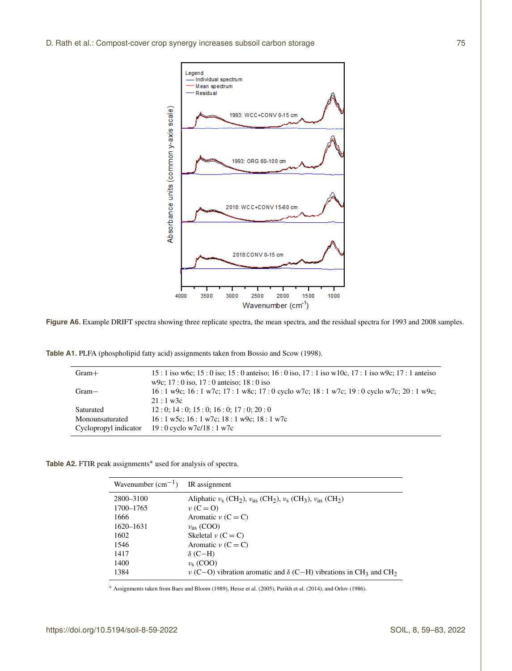

Figure A6. Example DRIFT spectra showing three replicate spectra, the mean spectra, and the residual spectra for 1993 and 2008 samples.

**Table A1.** PLFA (phospholipid fatty acid) assignments taken from Bossio and Scow (1998).

| $Gram+$               | $15:1$ iso w6c; $15:0$ iso; $15:0$ anteiso; $16:0$ iso, $17:1$ iso w10c, $17:1$ iso w9c; $17:1$ anteiso<br>w9c; $17:0$ iso, $17:0$ anteiso; $18:0$ iso |
|-----------------------|--------------------------------------------------------------------------------------------------------------------------------------------------------|
| $Gram-$               | $16:1$ w9c; $16:1$ w7c; $17:1$ w8c; $17:0$ cyclo w7c; $18:1$ w7c; $19:0$ cyclo w7c; $20:1$ w9c;<br>$21:1 \text{ w3c}$                                  |
| Saturated             | 12:0:14:0:15:0:16:0:17:0:20:0                                                                                                                          |
| Monounsaturated       | $16:1$ w5c; $16:1$ w7c; $18:1$ w9c; $18:1$ w7c                                                                                                         |
| Cyclopropyl indicator | $19:0$ cyclo w7c/18 : 1 w7c                                                                                                                            |

Table A2. FTIR peak assignments<sup>∗</sup> used for analysis of spectra.

| Wavenumber $(cm^{-1})$ IR assignment |                                                                                                                                |
|--------------------------------------|--------------------------------------------------------------------------------------------------------------------------------|
| 2800-3100                            | Aliphatic $\nu_s$ (CH <sub>2</sub> ), $\nu_{as}$ (CH <sub>2</sub> ), $\nu_s$ (CH <sub>3</sub> ), $\nu_{as}$ (CH <sub>2</sub> ) |
| 1700-1765                            | $\nu(C=0)$                                                                                                                     |
| 1666                                 | Aromatic $\nu$ (C = C)                                                                                                         |
| 1620–1631                            | $v_{\rm as}$ (COO)                                                                                                             |
| 1602                                 | Skeletal $\nu$ (C = C)                                                                                                         |
| 1546                                 | Aromatic $\nu$ (C = C)                                                                                                         |
| 1417                                 | $\delta$ (C-H)                                                                                                                 |
| 1400                                 | $v_s$ (COO)                                                                                                                    |
| 1384                                 | $\nu$ (C–O) vibration aromatic and $\delta$ (C–H) vibrations in CH <sub>3</sub> and CH <sub>2</sub>                            |

<sup>∗</sup> Assignments taken from Baes and Bloom (1989), Hesse et al. (2005), Parikh et al. (2014), and Orlov (1986).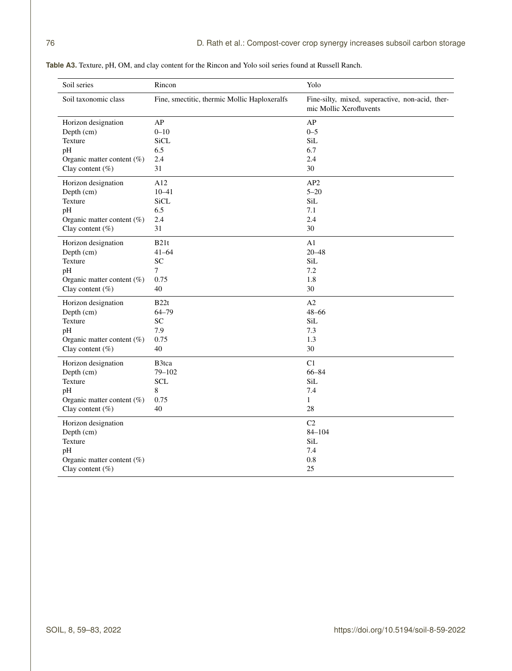| Soil series                   | Rincon                                       | Yolo                                                                       |  |
|-------------------------------|----------------------------------------------|----------------------------------------------------------------------------|--|
| Soil taxonomic class          | Fine, smectitic, thermic Mollic Haploxeralfs | Fine-silty, mixed, superactive, non-acid, ther-<br>mic Mollic Xerofluvents |  |
| Horizon designation           | AP                                           | AP                                                                         |  |
| Depth (cm)                    | $0 - 10$                                     | $0 - 5$                                                                    |  |
| Texture                       | <b>SiCL</b>                                  | SiL                                                                        |  |
| pH                            | 6.5                                          | 6.7                                                                        |  |
| Organic matter content $(\%)$ | 2.4                                          | 2.4                                                                        |  |
| Clay content $(\%)$           | 31                                           | 30                                                                         |  |
| Horizon designation           | A12                                          | AP <sub>2</sub>                                                            |  |
| Depth (cm)                    | $10 - 41$                                    | $5 - 20$                                                                   |  |
| Texture                       | <b>SiCL</b>                                  | SiL                                                                        |  |
| pH                            | 6.5                                          | 7.1                                                                        |  |
| Organic matter content $(\%)$ | 2.4                                          | 2.4                                                                        |  |
| Clay content $(\%)$           | 31                                           | 30                                                                         |  |
| Horizon designation           | B21t                                         | A1                                                                         |  |
| Depth (cm)                    | $41 - 64$                                    | $20 - 48$                                                                  |  |
| Texture                       | ${\rm SC}$                                   | SiL                                                                        |  |
| pH                            | $\tau$                                       | 7.2                                                                        |  |
| Organic matter content $(\%)$ | 0.75                                         | 1.8                                                                        |  |
| Clay content $(\%)$           | 40                                           | 30                                                                         |  |
| Horizon designation           | B22t                                         | A2                                                                         |  |
| Depth (cm)                    | $64 - 79$                                    | $48 - 66$                                                                  |  |
| Texture                       | SC                                           | SiL                                                                        |  |
| pH                            | 7.9                                          | 7.3                                                                        |  |
| Organic matter content $(\%)$ | 0.75                                         | 1.3                                                                        |  |
| Clay content $(\%)$           | 40                                           | 30                                                                         |  |
| Horizon designation           | B3tca                                        | C1                                                                         |  |
| Depth (cm)                    | $79 - 102$                                   | 66-84                                                                      |  |
| Texture                       | <b>SCL</b>                                   | SiL                                                                        |  |
| pH                            | 8                                            | 7.4                                                                        |  |
| Organic matter content $(\%)$ | 0.75                                         | $\mathbf{1}$                                                               |  |
| Clay content $(\%)$           | 40                                           | 28                                                                         |  |
| Horizon designation           |                                              | C <sub>2</sub>                                                             |  |
| Depth (cm)                    |                                              | $84 - 104$                                                                 |  |
| Texture                       |                                              | SiL                                                                        |  |
| pH                            |                                              | 7.4                                                                        |  |
| Organic matter content (%)    |                                              | 0.8                                                                        |  |
| Clay content $(\%)$           |                                              | 25                                                                         |  |

**Table A3.** Texture, pH, OM, and clay content for the Rincon and Yolo soil series found at Russell Ranch.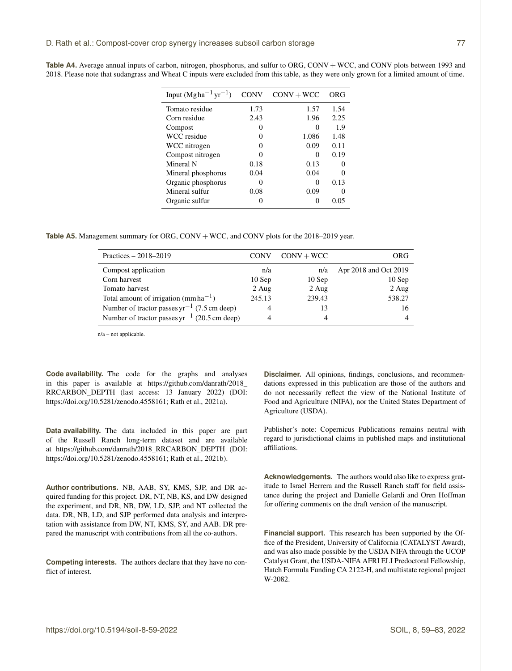| Input $(Mgha^{-1}yr^{-1})$ | <b>CONV</b> | $CONV + WCC$      | ORG           |
|----------------------------|-------------|-------------------|---------------|
| Tomato residue             | 1.73        | 1.57              | 1.54          |
| Corn residue               | 2.43        | 1.96              | 2.25          |
| Compost                    | 0           |                   | 1.9           |
| WCC residue                | 0           | 1.086             | 1.48          |
| WCC nitrogen               | 0           | 0.09              | 0.11          |
| Compost nitrogen           | 0           | $\mathbf{\Omega}$ | 0.19          |
| Mineral N                  | 0.18        | 0.13              | $\theta$      |
| Mineral phosphorus         | 0.04        | 0.04              | 0             |
| Organic phosphorus         | 0           | 0                 | 0.13          |
| Mineral sulfur             | 0.08        | 0.09              | $\mathcal{L}$ |
| Organic sulfur             | 0           | $\mathbf{\Omega}$ | 0.05          |
|                            |             |                   |               |

Table A4. Average annual inputs of carbon, nitrogen, phosphorus, and sulfur to ORG, CONV + WCC, and CONV plots between 1993 and 2018. Please note that sudangrass and Wheat C inputs were excluded from this table, as they were only grown for a limited amount of time.

Table A5. Management summary for ORG, CONV + WCC, and CONV plots for the 2018–2019 year.

| Practices $-2018-2019$                            | <b>CONV</b> | $CONV + WCC$ | ORG                   |
|---------------------------------------------------|-------------|--------------|-----------------------|
| Compost application                               | n/a         | n/a          | Apr 2018 and Oct 2019 |
| Corn harvest                                      | $10$ Sep    | $10$ Sep     | $10$ Sep              |
| Tomato harvest                                    | $2$ Aug     | 2 Aug        | $2$ Aug               |
| Total amount of irrigation (mm ha <sup>-1</sup> ) | 245.13      | 239.43       | 538.27                |
| Number of tractor passes $yr^{-1}$ (7.5 cm deep)  | 4           | 13           | 16                    |
| Number of tractor passes $yr^{-1}$ (20.5 cm deep) | 4           | 4            |                       |
|                                                   |             |              |                       |

n/a – not applicable.

**Code availability.** The code for the graphs and analyses in this paper is available at [https://github.com/danrath/2018\\_](https://github.com/danrath/2018_RRCARBON_DEPTH) [RRCARBON\\_DEPTH](https://github.com/danrath/2018_RRCARBON_DEPTH) (last access: 13 January 2022) (DOI: https://doi.org[/10.5281/zenodo.4558161;](https://doi.org/10.5281/zenodo.4558161) Rath et al., 2021a).

**Data availability.** The data included in this paper are part of the Russell Ranch long-term dataset and are available at [https://github.com/danrath/2018\\_RRCARBON\\_DEPTH](https://github.com/danrath/2018_RRCARBON_DEPTH) (DOI: https://doi.org[/10.5281/zenodo.4558161;](https://doi.org/10.5281/zenodo.4558161) Rath et al., 2021b).

**Author contributions.** NB, AAB, SY, KMS, SJP, and DR acquired funding for this project. DR, NT, NB, KS, and DW designed the experiment, and DR, NB, DW, LD, SJP, and NT collected the data. DR, NB, LD, and SJP performed data analysis and interpretation with assistance from DW, NT, KMS, SY, and AAB. DR prepared the manuscript with contributions from all the co-authors.

**Competing interests.** The authors declare that they have no conflict of interest.

**Disclaimer.** All opinions, findings, conclusions, and recommendations expressed in this publication are those of the authors and do not necessarily reflect the view of the National Institute of Food and Agriculture (NIFA), nor the United States Department of Agriculture (USDA).

Publisher's note: Copernicus Publications remains neutral with regard to jurisdictional claims in published maps and institutional affiliations.

**Acknowledgements.** The authors would also like to express gratitude to Israel Herrera and the Russell Ranch staff for field assistance during the project and Danielle Gelardi and Oren Hoffman for offering comments on the draft version of the manuscript.

**Financial support.** This research has been supported by the Office of the President, University of California (CATALYST Award), and was also made possible by the USDA NIFA through the UCOP Catalyst Grant, the USDA-NIFA AFRI ELI Predoctoral Fellowship, Hatch Formula Funding CA 2122-H, and multistate regional project W-2082.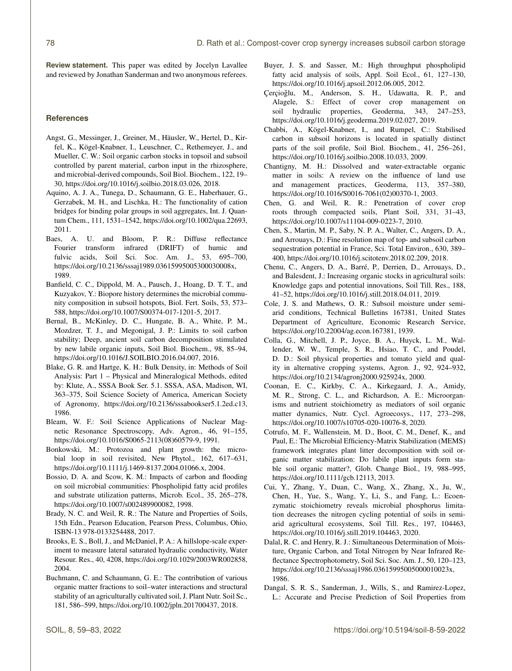**Review statement.** This paper was edited by Jocelyn Lavallee and reviewed by Jonathan Sanderman and two anonymous referees.

## **References**

- Angst, G., Messinger, J., Greiner, M., Häusler, W., Hertel, D., Kirfel, K., Kögel-Knabner, I., Leuschner, C., Rethemeyer, J., and Mueller, C. W.: Soil organic carbon stocks in topsoil and subsoil controlled by parent material, carbon input in the rhizosphere, and microbial-derived compounds, Soil Biol. Biochem., 122, 19– 30, https://doi.org[/10.1016/j.soilbio.2018.03.026,](https://doi.org/10.1016/j.soilbio.2018.03.026) 2018.
- Aquino, A. J. A., Tunega, D., Schaumann, G. E., Haberhauer, G., Gerzabek, M. H., and Lischka, H.: The functionality of cation bridges for binding polar groups in soil aggregates, Int. J. Quantum Chem., 111, 1531–1542, https://doi.org[/10.1002/qua.22693,](https://doi.org/10.1002/qua.22693) 2011.
- Baes, A. U. and Bloom, P. R.: Diffuse reflectance Fourier transform infrared (DRIFT) of humic and fulvic acids, Soil Sci. Soc. Am. J., 53, 695–700, https://doi.org[/10.2136/sssaj1989.03615995005300030008x,](https://doi.org/10.2136/sssaj1989.03615995005300030008x) 1989.
- Banfield, C. C., Dippold, M. A., Pausch, J., Hoang, D. T. T., and Kuzyakov, Y.: Biopore history determines the microbial community composition in subsoil hotspots, Biol. Fert. Soils, 53, 573– 588, https://doi.org[/10.1007/S00374-017-1201-5,](https://doi.org/10.1007/S00374-017-1201-5) 2017.
- Bernal, B., McKinley, D. C., Hungate, B. A., White, P. M., Mozdzer, T. J., and Megonigal, J. P.: Limits to soil carbon stability; Deep, ancient soil carbon decomposition stimulated by new labile organic inputs, Soil Biol. Biochem., 98, 85–94, https://doi.org[/10.1016/J.SOILBIO.2016.04.007,](https://doi.org/10.1016/J.SOILBIO.2016.04.007) 2016.
- Blake, G. R. and Hartge, K. H.: Bulk Density, in: Methods of Soil Analysis: Part 1 – Physical and Mineralogical Methods, edited by: Klute, A., SSSA Book Ser. 5.1. SSSA, ASA, Madison, WI, 363–375, Soil Science Society of America, American Society of Agronomy, https://doi.org[/10.2136/sssabookser5.1.2ed.c13,](https://doi.org/10.2136/sssabookser5.1.2ed.c13) 1986.
- Bleam, W. F.: Soil Science Applications of Nuclear Magnetic Resonance Spectroscopy, Adv. Agron., 46, 91–155, https://doi.org[/10.1016/S0065-2113\(08\)60579-9,](https://doi.org/10.1016/S0065-2113(08)60579-9) 1991.
- Bonkowski, M.: Protozoa and plant growth: the microbial loop in soil revisited, New Phytol., 162, 617–631, https://doi.org[/10.1111/j.1469-8137.2004.01066.x,](https://doi.org/10.1111/j.1469-8137.2004.01066.x) 2004.
- Bossio, D. A. and Scow, K. M.: Impacts of carbon and flooding on soil microbial communities: Phospholipid fatty acid profiles and substrate utilization patterns, Microb. Ecol., 35, 265–278, https://doi.org[/10.1007/s002489900082,](https://doi.org/10.1007/s002489900082) 1998.
- Brady, N. C. and Weil, R. R.: The Nature and Properties of Soils, 15th Edn., Pearson Education, Pearson Press, Columbus, Ohio, ISBN-13 978-0133254488, 2017.
- Brooks, E. S., Boll, J., and McDaniel, P. A.: A hillslope-scale experiment to measure lateral saturated hydraulic conductivity, Water Resour. Res., 40, 4208, https://doi.org[/10.1029/2003WR002858,](https://doi.org/10.1029/2003WR002858) 2004.
- Buchmann, C. and Schaumann, G. E.: The contribution of various organic matter fractions to soil–water interactions and structural stability of an agriculturally cultivated soil, J. Plant Nutr. Soil Sc., 181, 586–599, https://doi.org[/10.1002/jpln.201700437,](https://doi.org/10.1002/jpln.201700437) 2018.
- Buyer, J. S. and Sasser, M.: High throughput phospholipid fatty acid analysis of soils, Appl. Soil Ecol., 61, 127–130, https://doi.org[/10.1016/j.apsoil.2012.06.005,](https://doi.org/10.1016/j.apsoil.2012.06.005) 2012.
- Çerçioğlu, M., Anderson, S. H., Udawatta, R. P., and Alagele, S.: Effect of cover crop management on soil hydraulic properties, Geoderma, 343, 247–253, https://doi.org[/10.1016/j.geoderma.2019.02.027,](https://doi.org/10.1016/j.geoderma.2019.02.027) 2019.
- Chabbi, A., Kögel-Knabner, I., and Rumpel, C.: Stabilised carbon in subsoil horizons is located in spatially distinct parts of the soil profile, Soil Biol. Biochem., 41, 256–261, https://doi.org[/10.1016/j.soilbio.2008.10.033,](https://doi.org/10.1016/j.soilbio.2008.10.033) 2009.
- Chantigny, M. H.: Dissolved and water-extractable organic matter in soils: A review on the influence of land use and management practices, Geoderma, 113, 357–380, https://doi.org[/10.1016/S0016-7061\(02\)00370-1,](https://doi.org/10.1016/S0016-7061(02)00370-1) 2003.
- Chen, G. and Weil, R. R.: Penetration of cover crop roots through compacted soils, Plant Soil, 331, 31–43, https://doi.org[/10.1007/s11104-009-0223-7,](https://doi.org/10.1007/s11104-009-0223-7) 2010.
- Chen, S., Martin, M. P., Saby, N. P. A., Walter, C., Angers, D. A., and Arrouays, D.: Fine resolution map of top- and subsoil carbon sequestration potential in France, Sci. Total Environ., 630, 389– 400, https://doi.org[/10.1016/j.scitotenv.2018.02.209,](https://doi.org/10.1016/j.scitotenv.2018.02.209) 2018.
- Chenu, C., Angers, D. A., Barré, P., Derrien, D., Arrouays, D., and Balesdent, J.: Increasing organic stocks in agricultural soils: Knowledge gaps and potential innovations, Soil Till. Res., 188, 41–52, https://doi.org[/10.1016/j.still.2018.04.011,](https://doi.org/10.1016/j.still.2018.04.011) 2019.
- Cole, J. S. and Mathews, O. R.: Subsoil moisture under semiarid conditions, Technical Bulletins 167381, United States Department of Agriculture, Economic Research Service, https://doi.org[/10.22004/ag.econ.167381,](https://doi.org/10.22004/ag.econ.167381) 1939.
- Colla, G., Mitchell, J. P., Joyce, B. A., Huyck, L. M., Wallender, W. W., Temple, S. R., Hsiao, T. C., and Poudel, D. D.: Soil physical properties and tomato yield and quality in alternative cropping systems, Agron. J., 92, 924–932, https://doi.org[/10.2134/agronj2000.925924x,](https://doi.org/10.2134/agronj2000.925924x) 2000.
- Coonan, E. C., Kirkby, C. A., Kirkegaard, J. A., Amidy, M. R., Strong, C. L., and Richardson, A. E.: Microorganisms and nutrient stoichiometry as mediators of soil organic matter dynamics, Nutr. Cycl. Agroecosys., 117, 273–298, https://doi.org[/10.1007/s10705-020-10076-8,](https://doi.org/10.1007/s10705-020-10076-8) 2020.
- Cotrufo, M. F., Wallenstein, M. D., Boot, C. M., Denef, K., and Paul, E.: The Microbial Efficiency-Matrix Stabilization (MEMS) framework integrates plant litter decomposition with soil organic matter stabilization: Do labile plant inputs form stable soil organic matter?, Glob. Change Biol., 19, 988–995, https://doi.org[/10.1111/gcb.12113,](https://doi.org/10.1111/gcb.12113) 2013.
- Cui, Y., Zhang, Y., Duan, C., Wang, X., Zhang, X., Ju, W., Chen, H., Yue, S., Wang, Y., Li, S., and Fang, L.: Ecoenzymatic stoichiometry reveals microbial phosphorus limitation decreases the nitrogen cycling potential of soils in semiarid agricultural ecosystems, Soil Till. Res., 197, 104463, https://doi.org[/10.1016/j.still.2019.104463,](https://doi.org/10.1016/j.still.2019.104463) 2020.
- Dalal, R. C. and Henry, R. J.: Simultaneous Determination of Moisture, Organic Carbon, and Total Nitrogen by Near Infrared Reflectance Spectrophotometry, Soil Sci. Soc. Am. J., 50, 120–123, https://doi.org[/10.2136/sssaj1986.03615995005000010023x,](https://doi.org/10.2136/sssaj1986.03615995005000010023x) 1986.
- Dangal, S. R. S., Sanderman, J., Wills, S., and Ramirez-Lopez, L.: Accurate and Precise Prediction of Soil Properties from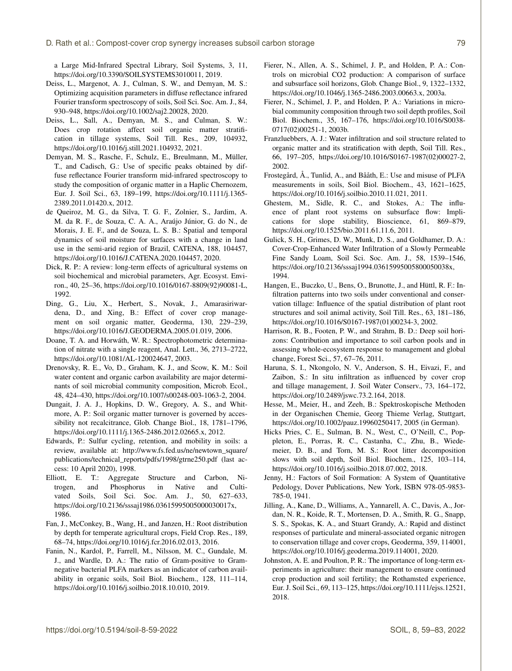a Large Mid-Infrared Spectral Library, Soil Systems, 3, 11, https://doi.org[/10.3390/SOILSYSTEMS3010011,](https://doi.org/10.3390/SOILSYSTEMS3010011) 2019.

- Deiss, L., Margenot, A. J., Culman, S. W., and Demyan, M. S.: Optimizing acquisition parameters in diffuse reflectance infrared Fourier transform spectroscopy of soils, Soil Sci. Soc. Am. J., 84, 930–948, https://doi.org[/10.1002/saj2.20028,](https://doi.org/10.1002/saj2.20028) 2020.
- Deiss, L., Sall, A., Demyan, M. S., and Culman, S. W.: Does crop rotation affect soil organic matter stratification in tillage systems, Soil Till. Res., 209, 104932, https://doi.org[/10.1016/j.still.2021.104932,](https://doi.org/10.1016/j.still.2021.104932) 2021.
- Demyan, M. S., Rasche, F., Schulz, E., Breulmann, M., Müller, T., and Cadisch, G.: Use of specific peaks obtained by diffuse reflectance Fourier transform mid-infrared spectroscopy to study the composition of organic matter in a Haplic Chernozem, Eur. J. Soil Sci., 63, 189–199, https://doi.org[/10.1111/j.1365-](https://doi.org/10.1111/j.1365-2389.2011.01420.x) [2389.2011.01420.x,](https://doi.org/10.1111/j.1365-2389.2011.01420.x) 2012.
- de Queiroz, M. G., da Silva, T. G. F., Zolnier, S., Jardim, A. M. da R. F., de Souza, C. A. A., Araújo Júnior, G. do N., de Morais, J. E. F., and de Souza, L. S. B.: Spatial and temporal dynamics of soil moisture for surfaces with a change in land use in the semi-arid region of Brazil, CATENA, 188, 104457, https://doi.org[/10.1016/J.CATENA.2020.104457,](https://doi.org/10.1016/J.CATENA.2020.104457) 2020.
- Dick, R. P.: A review: long-term effects of agricultural systems on soil biochemical and microbial parameters, Agr. Ecosyst. Environ., 40, 25–36, https://doi.org[/10.1016/0167-8809\(92\)90081-L,](https://doi.org/10.1016/0167-8809(92)90081-L) 1992.
- Ding, G., Liu, X., Herbert, S., Novak, J., Amarasiriwardena, D., and Xing, B.: Effect of cover crop management on soil organic matter, Geoderma, 130, 229–239, https://doi.org[/10.1016/J.GEODERMA.2005.01.019,](https://doi.org/10.1016/J.GEODERMA.2005.01.019) 2006.
- Doane, T. A. and Horwáth, W. R.: Spectrophotometric determination of nitrate with a single reagent, Anal. Lett., 36, 2713–2722, https://doi.org[/10.1081/AL-120024647,](https://doi.org/10.1081/AL-120024647) 2003.
- Drenovsky, R. E., Vo, D., Graham, K. J., and Scow, K. M.: Soil water content and organic carbon availability are major determinants of soil microbial community composition, Microb. Ecol., 48, 424–430, https://doi.org[/10.1007/s00248-003-1063-2,](https://doi.org/10.1007/s00248-003-1063-2) 2004.
- Dungait, J. A. J., Hopkins, D. W., Gregory, A. S., and Whitmore, A. P.: Soil organic matter turnover is governed by accessibility not recalcitrance, Glob. Change Biol., 18, 1781–1796, https://doi.org[/10.1111/j.1365-2486.2012.02665.x,](https://doi.org/10.1111/j.1365-2486.2012.02665.x) 2012.
- Edwards, P.: Sulfur cycling, retention, and mobility in soils: a review, available at: [http://www.fs.fed.us/ne/newtown\\_square/](http://www.fs.fed.us/ne/newtown_square/publications/technical_reports/pdfs/1998/gtrne250.pdf) [publications/technical\\_reports/pdfs/1998/gtrne250.pdf](http://www.fs.fed.us/ne/newtown_square/publications/technical_reports/pdfs/1998/gtrne250.pdf) (last access: 10 April 2020), 1998.
- Elliott, E. T.: Aggregate Structure and Carbon, Nitrogen, and Phosphorus in Native and Cultivated Soils, Soil Sci. Soc. Am. J., 50, 627–633, https://doi.org[/10.2136/sssaj1986.03615995005000030017x,](https://doi.org/10.2136/sssaj1986.03615995005000030017x) 1986.
- Fan, J., McConkey, B., Wang, H., and Janzen, H.: Root distribution by depth for temperate agricultural crops, Field Crop. Res., 189, 68–74, https://doi.org[/10.1016/j.fcr.2016.02.013,](https://doi.org/10.1016/j.fcr.2016.02.013) 2016.
- Fanin, N., Kardol, P., Farrell, M., Nilsson, M. C., Gundale, M. J., and Wardle, D. A.: The ratio of Gram-positive to Gramnegative bacterial PLFA markers as an indicator of carbon availability in organic soils, Soil Biol. Biochem., 128, 111–114, https://doi.org[/10.1016/j.soilbio.2018.10.010,](https://doi.org/10.1016/j.soilbio.2018.10.010) 2019.
- Fierer, N., Allen, A. S., Schimel, J. P., and Holden, P. A.: Controls on microbial CO2 production: A comparison of surface and subsurface soil horizons, Glob. Change Biol., 9, 1322–1332, https://doi.org[/10.1046/j.1365-2486.2003.00663.x,](https://doi.org/10.1046/j.1365-2486.2003.00663.x) 2003a.
- Fierer, N., Schimel, J. P., and Holden, P. A.: Variations in microbial community composition through two soil depth profiles, Soil Biol. Biochem., 35, 167–176, https://doi.org[/10.1016/S0038-](https://doi.org/10.1016/S0038-0717(02)00251-1) [0717\(02\)00251-1,](https://doi.org/10.1016/S0038-0717(02)00251-1) 2003b.
- Franzluebbers, A. J.: Water infiltration and soil structure related to organic matter and its stratification with depth, Soil Till. Res., 66, 197–205, https://doi.org[/10.1016/S0167-1987\(02\)00027-2,](https://doi.org/10.1016/S0167-1987(02)00027-2) 2002.
- Frostegård, Å., Tunlid, A., and Bååth, E.: Use and misuse of PLFA measurements in soils, Soil Biol. Biochem., 43, 1621–1625, https://doi.org[/10.1016/j.soilbio.2010.11.021,](https://doi.org/10.1016/j.soilbio.2010.11.021) 2011.
- Ghestem, M., Sidle, R. C., and Stokes, A.: The influence of plant root systems on subsurface flow: Implications for slope stability, Bioscience, 61, 869–879, https://doi.org[/10.1525/bio.2011.61.11.6,](https://doi.org/10.1525/bio.2011.61.11.6) 2011.
- Gulick, S. H., Grimes, D. W., Munk, D. S., and Goldhamer, D. A.: Cover-Crop-Enhanced Water Infiltration of a Slowly Permeable Fine Sandy Loam, Soil Sci. Soc. Am. J., 58, 1539–1546, https://doi.org[/10.2136/sssaj1994.03615995005800050038x,](https://doi.org/10.2136/sssaj1994.03615995005800050038x) 1994.
- Hangen, E., Buczko, U., Bens, O., Brunotte, J., and Hüttl, R. F.: Infiltration patterns into two soils under conventional and conservation tillage: Influence of the spatial distribution of plant root structures and soil animal activity, Soil Till. Res., 63, 181–186, https://doi.org[/10.1016/S0167-1987\(01\)00234-3,](https://doi.org/10.1016/S0167-1987(01)00234-3) 2002.
- Harrison, R. B., Footen, P. W., and Strahm, B. D.: Deep soil horizons: Contribution and importance to soil carbon pools and in assessing whole-ecosystem response to management and global change, Forest Sci., 57, 67–76, 2011.
- Haruna, S. I., Nkongolo, N. V., Anderson, S. H., Eivazi, F., and Zaibon, S.: In situ infiltration as influenced by cover crop and tillage management, J. Soil Water Conserv., 73, 164–172, https://doi.org[/10.2489/jswc.73.2.164,](https://doi.org/10.2489/jswc.73.2.164) 2018.
- Hesse, M., Meier, H., and Zeeh, B.: Spektroskopische Methoden in der Organischen Chemie, Georg Thieme Verlag, Stuttgart, https://doi.org[/10.1002/pauz.19960250417,](https://doi.org/10.1002/pauz.19960250417) 2005 (in German).
- Hicks Pries, C. E., Sulman, B. N., West, C., O'Neill, C., Poppleton, E., Porras, R. C., Castanha, C., Zhu, B., Wiedemeier, D. B., and Torn, M. S.: Root litter decomposition slows with soil depth, Soil Biol. Biochem., 125, 103–114, https://doi.org[/10.1016/j.soilbio.2018.07.002,](https://doi.org/10.1016/j.soilbio.2018.07.002) 2018.
- Jenny, H.: Factors of Soil Formation: A System of Quantitative Pedology, Dover Publications, New York, ISBN 978-05-9853- 785-0, 1941.
- Jilling, A., Kane, D., Williams, A., Yannarell, A. C., Davis, A., Jordan, N. R., Koide, R. T., Mortensen, D. A., Smith, R. G., Snapp, S. S., Spokas, K. A., and Stuart Grandy, A.: Rapid and distinct responses of particulate and mineral-associated organic nitrogen to conservation tillage and cover crops, Geoderma, 359, 114001, https://doi.org[/10.1016/j.geoderma.2019.114001,](https://doi.org/10.1016/j.geoderma.2019.114001) 2020.
- Johnston, A. E. and Poulton, P. R.: The importance of long-term experiments in agriculture: their management to ensure continued crop production and soil fertility; the Rothamsted experience, Eur. J. Soil Sci., 69, 113–125, https://doi.org[/10.1111/ejss.12521,](https://doi.org/10.1111/ejss.12521) 2018.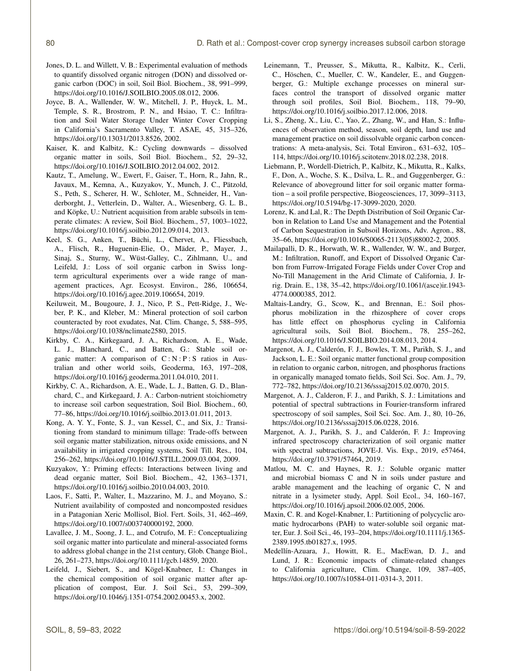- Jones, D. L. and Willett, V. B.: Experimental evaluation of methods to quantify dissolved organic nitrogen (DON) and dissolved organic carbon (DOC) in soil, Soil Biol. Biochem., 38, 991–999, https://doi.org[/10.1016/J.SOILBIO.2005.08.012,](https://doi.org/10.1016/J.SOILBIO.2005.08.012) 2006.
- Joyce, B. A., Wallender, W. W., Mitchell, J. P., Huyck, L. M., Temple, S. R., Brostrom, P. N., and Hsiao, T. C.: Infiltration and Soil Water Storage Under Winter Cover Cropping in California's Sacramento Valley, T. ASAE, 45, 315–326, https://doi.org[/10.13031/2013.8526,](https://doi.org/10.13031/2013.8526) 2002.
- Kaiser, K. and Kalbitz, K.: Cycling downwards dissolved organic matter in soils, Soil Biol. Biochem., 52, 29–32, https://doi.org[/10.1016/J.SOILBIO.2012.04.002,](https://doi.org/10.1016/J.SOILBIO.2012.04.002) 2012.
- Kautz, T., Amelung, W., Ewert, F., Gaiser, T., Horn, R., Jahn, R., Javaux, M., Kemna, A., Kuzyakov, Y., Munch, J. C., Pätzold, S., Peth, S., Scherer, H. W., Schloter, M., Schneider, H., Vanderborght, J., Vetterlein, D., Walter, A., Wiesenberg, G. L. B., and Köpke, U.: Nutrient acquisition from arable subsoils in temperate climates: A review, Soil Biol. Biochem., 57, 1003–1022, https://doi.org[/10.1016/j.soilbio.2012.09.014,](https://doi.org/10.1016/j.soilbio.2012.09.014) 2013.
- Keel, S. G., Anken, T., Büchi, L., Chervet, A., Fliessbach, A., Flisch, R., Huguenin-Elie, O., Mäder, P., Mayer, J., Sinaj, S., Sturny, W., Wüst-Galley, C., Zihlmann, U., and Leifeld, J.: Loss of soil organic carbon in Swiss longterm agricultural experiments over a wide range of management practices, Agr. Ecosyst. Environ., 286, 106654, https://doi.org[/10.1016/j.agee.2019.106654,](https://doi.org/10.1016/j.agee.2019.106654) 2019.
- Keiluweit, M., Bougoure, J. J., Nico, P. S., Pett-Ridge, J., Weber, P. K., and Kleber, M.: Mineral protection of soil carbon counteracted by root exudates, Nat. Clim. Change, 5, 588–595, https://doi.org[/10.1038/nclimate2580,](https://doi.org/10.1038/nclimate2580) 2015.
- Kirkby, C. A., Kirkegaard, J. A., Richardson, A. E., Wade, L. J., Blanchard, C., and Batten, G.: Stable soil organic matter: A comparison of  $C : N : P : S$  ratios in Australian and other world soils, Geoderma, 163, 197–208, https://doi.org[/10.1016/j.geoderma.2011.04.010,](https://doi.org/10.1016/j.geoderma.2011.04.010) 2011.
- Kirkby, C. A., Richardson, A. E., Wade, L. J., Batten, G. D., Blanchard, C., and Kirkegaard, J. A.: Carbon-nutrient stoichiometry to increase soil carbon sequestration, Soil Biol. Biochem., 60, 77–86, https://doi.org[/10.1016/j.soilbio.2013.01.011,](https://doi.org/10.1016/j.soilbio.2013.01.011) 2013.
- Kong, A. Y. Y., Fonte, S. J., van Kessel, C., and Six, J.: Transitioning from standard to minimum tillage: Trade-offs between soil organic matter stabilization, nitrous oxide emissions, and N availability in irrigated cropping systems, Soil Till. Res., 104, 256–262, https://doi.org[/10.1016/J.STILL.2009.03.004,](https://doi.org/10.1016/J.STILL.2009.03.004) 2009.
- Kuzyakov, Y.: Priming effects: Interactions between living and dead organic matter, Soil Biol. Biochem., 42, 1363–1371, https://doi.org[/10.1016/j.soilbio.2010.04.003,](https://doi.org/10.1016/j.soilbio.2010.04.003) 2010.
- Laos, F., Satti, P., Walter, I., Mazzarino, M. J., and Moyano, S.: Nutrient availability of composted and noncomposted residues in a Patagonian Xeric Mollisol, Biol. Fert. Soils, 31, 462–469, https://doi.org[/10.1007/s003740000192,](https://doi.org/10.1007/s003740000192) 2000.
- Lavallee, J. M., Soong, J. L., and Cotrufo, M. F.: Conceptualizing soil organic matter into particulate and mineral-associated forms to address global change in the 21st century, Glob. Change Biol., 26, 261–273, https://doi.org[/10.1111/gcb.14859,](https://doi.org/10.1111/gcb.14859) 2020.
- Leifeld, J., Siebert, S., and Kögel-Knabner, I.: Changes in the chemical composition of soil organic matter after application of compost, Eur. J. Soil Sci., 53, 299–309, https://doi.org[/10.1046/j.1351-0754.2002.00453.x,](https://doi.org/10.1046/j.1351-0754.2002.00453.x) 2002.
- Leinemann, T., Preusser, S., Mikutta, R., Kalbitz, K., Cerli, C., Höschen, C., Mueller, C. W., Kandeler, E., and Guggenberger, G.: Multiple exchange processes on mineral surfaces control the transport of dissolved organic matter through soil profiles, Soil Biol. Biochem., 118, 79–90, https://doi.org[/10.1016/j.soilbio.2017.12.006,](https://doi.org/10.1016/j.soilbio.2017.12.006) 2018.
- Li, S., Zheng, X., Liu, C., Yao, Z., Zhang, W., and Han, S.: Influences of observation method, season, soil depth, land use and management practice on soil dissolvable organic carbon concentrations: A meta-analysis, Sci. Total Environ., 631–632, 105– 114, https://doi.org[/10.1016/j.scitotenv.2018.02.238,](https://doi.org/10.1016/j.scitotenv.2018.02.238) 2018.
- Liebmann, P., Wordell-Dietrich, P., Kalbitz, K., Mikutta, R., Kalks, F., Don, A., Woche, S. K., Dsilva, L. R., and Guggenberger, G.: Relevance of aboveground litter for soil organic matter formation – a soil profile perspective, Biogeosciences, 17, 3099–3113, https://doi.org[/10.5194/bg-17-3099-2020,](https://doi.org/10.5194/bg-17-3099-2020) 2020.
- Lorenz, K. and Lal, R.: The Depth Distribution of Soil Organic Carbon in Relation to Land Use and Management and the Potential of Carbon Sequestration in Subsoil Horizons, Adv. Agron., 88, 35–66, https://doi.org[/10.1016/S0065-2113\(05\)88002-2,](https://doi.org/10.1016/S0065-2113(05)88002-2) 2005.
- Mailapalli, D. R., Horwath, W. R., Wallender, W. W., and Burger, M.: Infiltration, Runoff, and Export of Dissolved Organic Carbon from Furrow-Irrigated Forage Fields under Cover Crop and No-Till Management in the Arid Climate of California, J. Irrig. Drain. E., 138, 35–42, https://doi.org[/10.1061/\(asce\)ir.1943-](https://doi.org/10.1061/(asce)ir.1943-4774.0000385) [4774.0000385,](https://doi.org/10.1061/(asce)ir.1943-4774.0000385) 2012.
- Maltais-Landry, G., Scow, K., and Brennan, E.: Soil phosphorus mobilization in the rhizosphere of cover crops has little effect on phosphorus cycling in California agricultural soils, Soil Biol. Biochem., 78, 255–262, https://doi.org[/10.1016/J.SOILBIO.2014.08.013,](https://doi.org/10.1016/J.SOILBIO.2014.08.013) 2014.
- Margenot, A. J., Calderón, F. J., Bowles, T. M., Parikh, S. J., and Jackson, L. E.: Soil organic matter functional group composition in relation to organic carbon, nitrogen, and phosphorus fractions in organically managed tomato fields, Soil Sci. Soc. Am. J., 79, 772–782, https://doi.org[/10.2136/sssaj2015.02.0070,](https://doi.org/10.2136/sssaj2015.02.0070) 2015.
- Margenot, A. J., Calderon, F. J., and Parikh, S. J.: Limitations and potential of spectral subtractions in Fourier-transform infrared spectroscopy of soil samples, Soil Sci. Soc. Am. J., 80, 10–26, https://doi.org[/10.2136/sssaj2015.06.0228,](https://doi.org/10.2136/sssaj2015.06.0228) 2016.
- Margenot, A. J., Parikh, S. J., and Calderón, F. J.: Improving infrared spectroscopy characterization of soil organic matter with spectral subtractions, JOVE-J. Vis. Exp., 2019, e57464, https://doi.org[/10.3791/57464,](https://doi.org/10.3791/57464) 2019.
- Matlou, M. C. and Haynes, R. J.: Soluble organic matter and microbial biomass C and N in soils under pasture and arable management and the leaching of organic C, N and nitrate in a lysimeter study, Appl. Soil Ecol., 34, 160–167, https://doi.org[/10.1016/j.apsoil.2006.02.005,](https://doi.org/10.1016/j.apsoil.2006.02.005) 2006.
- Maxin, C. R. and Kogel-Knabner, I.: Partitioning of polycyclic aromatic hydrocarbons (PAH) to water-soluble soil organic matter, Eur. J. Soil Sci., 46, 193–204, https://doi.org[/10.1111/j.1365-](https://doi.org/10.1111/j.1365-2389.1995.tb01827.x) [2389.1995.tb01827.x,](https://doi.org/10.1111/j.1365-2389.1995.tb01827.x) 1995.
- Medellín-Azuara, J., Howitt, R. E., MacEwan, D. J., and Lund, J. R.: Economic impacts of climate-related changes to California agriculture, Clim. Change, 109, 387–405, https://doi.org[/10.1007/s10584-011-0314-3,](https://doi.org/10.1007/s10584-011-0314-3) 2011.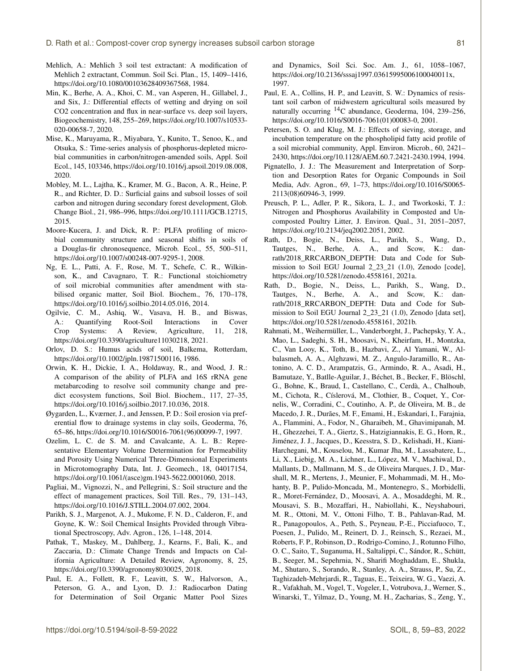- Mehlich, A.: Mehlich 3 soil test extractant: A modification of Mehlich 2 extractant, Commun. Soil Sci. Plan., 15, 1409–1416, https://doi.org[/10.1080/00103628409367568,](https://doi.org/10.1080/00103628409367568) 1984.
- Min, K., Berhe, A. A., Khoi, C. M., van Asperen, H., Gillabel, J., and Six, J.: Differential effects of wetting and drying on soil CO2 concentration and flux in near-surface vs. deep soil layers, Biogeochemistry, 148, 255–269, https://doi.org[/10.1007/s10533-](https://doi.org/10.1007/s10533-020-00658-7) [020-00658-7,](https://doi.org/10.1007/s10533-020-00658-7) 2020.
- Mise, K., Maruyama, R., Miyabara, Y., Kunito, T., Senoo, K., and Otsuka, S.: Time-series analysis of phosphorus-depleted microbial communities in carbon/nitrogen-amended soils, Appl. Soil Ecol., 145, 103346, https://doi.org[/10.1016/j.apsoil.2019.08.008,](https://doi.org/10.1016/j.apsoil.2019.08.008) 2020.
- Mobley, M. L., Lajtha, K., Kramer, M. G., Bacon, A. R., Heine, P. R., and Richter, D. D.: Surficial gains and subsoil losses of soil carbon and nitrogen during secondary forest development, Glob. Change Biol., 21, 986–996, https://doi.org[/10.1111/GCB.12715,](https://doi.org/10.1111/GCB.12715) 2015.
- Moore-Kucera, J. and Dick, R. P.: PLFA profiling of microbial community structure and seasonal shifts in soils of a Douglas-fir chronosequence, Microb. Ecol., 55, 500–511, https://doi.org[/10.1007/s00248-007-9295-1,](https://doi.org/10.1007/s00248-007-9295-1) 2008.
- Ng, E. L., Patti, A. F., Rose, M. T., Schefe, C. R., Wilkinson, K., and Cavagnaro, T. R.: Functional stoichiometry of soil microbial communities after amendment with stabilised organic matter, Soil Biol. Biochem., 76, 170–178, https://doi.org[/10.1016/j.soilbio.2014.05.016,](https://doi.org/10.1016/j.soilbio.2014.05.016) 2014.
- Ogilvie, C. M., Ashiq, W., Vasava, H. B., and Biswas, A.: Quantifying Root-Soil Interactions in Cover Crop Systems: A Review, Agriculture, 11, 218, https://doi.org[/10.3390/agriculture11030218,](https://doi.org/10.3390/agriculture11030218) 2021.
- Orlov, D. S.: Humus acids of soil, Balkema, Rotterdam, https://doi.org[/10.1002/jpln.19871500116,](https://doi.org/10.1002/jpln.19871500116) 1986.
- Orwin, K. H., Dickie, I. A., Holdaway, R., and Wood, J. R.: A comparison of the ability of PLFA and 16S rRNA gene metabarcoding to resolve soil community change and predict ecosystem functions, Soil Biol. Biochem., 117, 27–35, https://doi.org[/10.1016/j.soilbio.2017.10.036,](https://doi.org/10.1016/j.soilbio.2017.10.036) 2018.
- Øygarden, L., Kværner, J., and Jenssen, P. D.: Soil erosion via preferential flow to drainage systems in clay soils, Geoderma, 76, 65–86, https://doi.org[/10.1016/S0016-7061\(96\)00099-7,](https://doi.org/10.1016/S0016-7061(96)00099-7) 1997.
- Ozelim, L. C. de S. M. and Cavalcante, A. L. B.: Representative Elementary Volume Determination for Permeability and Porosity Using Numerical Three-Dimensional Experiments in Microtomography Data, Int. J. Geomech., 18, 04017154, https://doi.org[/10.1061/\(asce\)gm.1943-5622.0001060,](https://doi.org/10.1061/(asce)gm.1943-5622.0001060) 2018.
- Pagliai, M., Vignozzi, N., and Pellegrini, S.: Soil structure and the effect of management practices, Soil Till. Res., 79, 131–143, https://doi.org[/10.1016/J.STILL.2004.07.002,](https://doi.org/10.1016/J.STILL.2004.07.002) 2004.
- Parikh, S. J., Margenot, A. J., Mukome, F. N. D., Calderon, F., and Goyne, K. W.: Soil Chemical Insights Provided through Vibrational Spectroscopy, Adv. Agron., 126, 1–148, 2014.
- Pathak, T., Maskey, M., Dahlberg, J., Kearns, F., Bali, K., and Zaccaria, D.: Climate Change Trends and Impacts on California Agriculture: A Detailed Review, Agronomy, 8, 25, https://doi.org[/10.3390/agronomy8030025,](https://doi.org/10.3390/agronomy8030025) 2018.
- Paul, E. A., Follett, R. F., Leavitt, S. W., Halvorson, A., Peterson, G. A., and Lyon, D. J.: Radiocarbon Dating for Determination of Soil Organic Matter Pool Sizes

and Dynamics, Soil Sci. Soc. Am. J., 61, 1058–1067, https://doi.org[/10.2136/sssaj1997.03615995006100040011x,](https://doi.org/10.2136/sssaj1997.03615995006100040011x) 1997.

- Paul, E. A., Collins, H. P., and Leavitt, S. W.: Dynamics of resistant soil carbon of midwestern agricultural soils measured by naturally occurring <sup>14</sup>C abundance, Geoderma, 104, 239–256, https://doi.org[/10.1016/S0016-7061\(01\)00083-0,](https://doi.org/10.1016/S0016-7061(01)00083-0) 2001.
- Petersen, S. O. and Klug, M. J.: Effects of sieving, storage, and incubation temperature on the phospholipid fatty acid profile of a soil microbial community, Appl. Environ. Microb., 60, 2421– 2430, https://doi.org[/10.1128/AEM.60.7.2421-2430.1994,](https://doi.org/10.1128/AEM.60.7.2421-2430.1994) 1994.
- Pignatello, J. J.: The Measurement and Interpretation of Sorption and Desorption Rates for Organic Compounds in Soil Media, Adv. Agron., 69, 1–73, https://doi.org[/10.1016/S0065-](https://doi.org/10.1016/S0065-2113(08)60946-3) [2113\(08\)60946-3,](https://doi.org/10.1016/S0065-2113(08)60946-3) 1999.
- Preusch, P. L., Adler, P. R., Sikora, L. J., and Tworkoski, T. J.: Nitrogen and Phosphorus Availability in Composted and Uncomposted Poultry Litter, J. Environ. Qual., 31, 2051–2057, https://doi.org[/10.2134/jeq2002.2051,](https://doi.org/10.2134/jeq2002.2051) 2002.
- Rath, D., Bogie, N., Deiss, L., Parikh, S., Wang, D., Tautges, N., Berhe, A. A., and Scow, K.: danrath/2018\_RRCARBON\_DEPTH: Data and Code for Submission to Soil EGU Journal 2\_23\_21 (1.0), Zenodo [code], https://doi.org/10.5281/zenodo.4558161, 2021a.
- Rath, D., Bogie, N., Deiss, L., Parikh, S., Wang, D., Tautges, N., Berhe, A. A., and Scow, K.: danrath/2018\_RRCARBON\_DEPTH: Data and Code for Submission to Soil EGU Journal 2\_23\_21 (1.0), Zenodo [data set], https://doi.org/10.5281/zenodo.4558161, 2021b.
- Rahmati, M., Weihermüller, L., Vanderborght, J., Pachepsky, Y. A., Mao, L., Sadeghi, S. H., Moosavi, N., Kheirfam, H., Montzka, C., Van Looy, K., Toth, B., Hazbavi, Z., Al Yamani, W., Albalasmeh, A. A., Alghzawi, M. Z., Angulo-Jaramillo, R., Antonino, A. C. D., Arampatzis, G., Armindo, R. A., Asadi, H., Bamutaze, Y., Batlle-Aguilar, J., Béchet, B., Becker, F., Blöschl, G., Bohne, K., Braud, I., Castellano, C., Cerdà, A., Chalhoub, M., Cichota, R., Císlerová, M., Clothier, B., Coquet, Y., Cornelis, W., Corradini, C., Coutinho, A. P., de Oliveira, M. B., de Macedo, J. R., Durães, M. F., Emami, H., Eskandari, I., Farajnia, A., Flammini, A., Fodor, N., Gharaibeh, M., Ghavimipanah, M. H., Ghezzehei, T. A., Giertz, S., Hatzigiannakis, E. G., Horn, R., Jiménez, J. J., Jacques, D., Keesstra, S. D., Kelishadi, H., Kiani-Harchegani, M., Kouselou, M., Kumar Jha, M., Lassabatere, L., Li, X., Liebig, M. A., Lichner, L., López, M. V., Machiwal, D., Mallants, D., Mallmann, M. S., de Oliveira Marques, J. D., Marshall, M. R., Mertens, J., Meunier, F., Mohammadi, M. H., Mohanty, B. P., Pulido-Moncada, M., Montenegro, S., Morbidelli, R., Moret-Fernández, D., Moosavi, A. A., Mosaddeghi, M. R., Mousavi, S. B., Mozaffari, H., Nabiollahi, K., Neyshabouri, M. R., Ottoni, M. V., Ottoni Filho, T. B., Pahlavan-Rad, M. R., Panagopoulos, A., Peth, S., Peyneau, P.-E., Picciafuoco, T., Poesen, J., Pulido, M., Reinert, D. J., Reinsch, S., Rezaei, M., Roberts, F. P., Robinson, D., Rodrigo-Comino, J., Rotunno Filho, O. C., Saito, T., Suganuma, H., Saltalippi, C., Sándor, R., Schütt, B., Seeger, M., Sepehrnia, N., Sharifi Moghaddam, E., Shukla, M., Shutaro, S., Sorando, R., Stanley, A. A., Strauss, P., Su, Z., Taghizadeh-Mehrjardi, R., Taguas, E., Teixeira, W. G., Vaezi, A. R., Vafakhah, M., Vogel, T., Vogeler, I., Votrubova, J., Werner, S., Winarski, T., Yilmaz, D., Young, M. H., Zacharias, S., Zeng, Y.,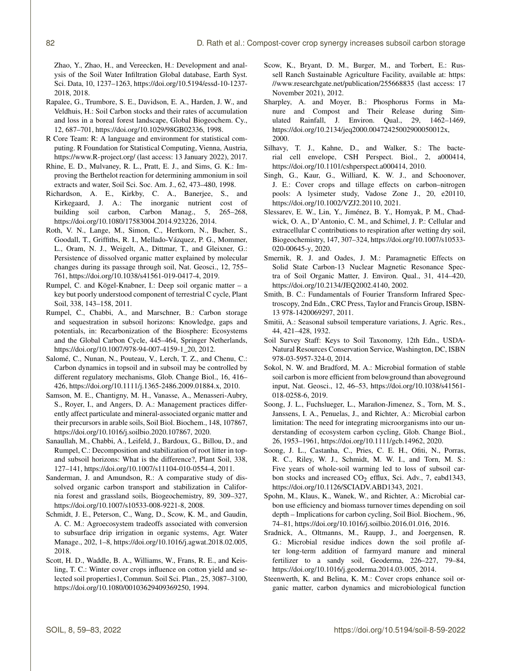Zhao, Y., Zhao, H., and Vereecken, H.: Development and analysis of the Soil Water Infiltration Global database, Earth Syst. Sci. Data, 10, 1237–1263, https://doi.org[/10.5194/essd-10-1237-](https://doi.org/10.5194/essd-10-1237-2018) [2018,](https://doi.org/10.5194/essd-10-1237-2018) 2018.

- Rapalee, G., Trumbore, S. E., Davidson, E. A., Harden, J. W., and Veldhuis, H.: Soil Carbon stocks and their rates of accumulation and loss in a boreal forest landscape, Global Biogeochem. Cy., 12, 687–701, https://doi.org[/10.1029/98GB02336,](https://doi.org/10.1029/98GB02336) 1998.
- R Core Team: R: A language and environment for statistical computing. R Foundation for Statistical Computing, Vienna, Austria, <https://www.R-project.org/> (last access: 13 January 2022), 2017.
- Rhine, E. D., Mulvaney, R. L., Pratt, E. J., and Sims, G. K.: Improving the Berthelot reaction for determining ammonium in soil extracts and water, Soil Sci. Soc. Am. J., 62, 473–480, 1998.
- Richardson, A. E., Kirkby, C. A., Banerjee, S., and Kirkegaard, J. A.: The inorganic nutrient cost of building soil carbon, Carbon Manag., 5, 265–268, https://doi.org[/10.1080/17583004.2014.923226,](https://doi.org/10.1080/17583004.2014.923226) 2014.
- Roth, V. N., Lange, M., Simon, C., Hertkorn, N., Bucher, S., Goodall, T., Griffiths, R. I., Mellado-Vázquez, P. G., Mommer, L., Oram, N. J., Weigelt, A., Dittmar, T., and Gleixner, G.: Persistence of dissolved organic matter explained by molecular changes during its passage through soil, Nat. Geosci., 12, 755– 761, https://doi.org[/10.1038/s41561-019-0417-4,](https://doi.org/10.1038/s41561-019-0417-4) 2019.
- Rumpel, C. and Kögel-Knabner, I.: Deep soil organic matter a key but poorly understood component of terrestrial C cycle, Plant Soil, 338, 143–158, 2011.
- Rumpel, C., Chabbi, A., and Marschner, B.: Carbon storage and sequestration in subsoil horizons: Knowledge, gaps and potentials, in: Recarbonization of the Biosphere: Ecosystems and the Global Carbon Cycle, 445–464, Springer Netherlands, https://doi.org[/10.1007/978-94-007-4159-1\\_20,](https://doi.org/10.1007/978-94-007-4159-1_20) 2012.
- Salomé, C., Nunan, N., Pouteau, V., Lerch, T. Z., and Chenu, C.: Carbon dynamics in topsoil and in subsoil may be controlled by different regulatory mechanisms, Glob. Change Biol., 16, 416– 426, https://doi.org[/10.1111/j.1365-2486.2009.01884.x,](https://doi.org/10.1111/j.1365-2486.2009.01884.x) 2010.
- Samson, M. E., Chantigny, M. H., Vanasse, A., Menasseri-Aubry, S., Royer, I., and Angers, D. A.: Management practices differently affect particulate and mineral-associated organic matter and their precursors in arable soils, Soil Biol. Biochem., 148, 107867, https://doi.org[/10.1016/j.soilbio.2020.107867,](https://doi.org/10.1016/j.soilbio.2020.107867) 2020.
- Sanaullah, M., Chabbi, A., Leifeld, J., Bardoux, G., Billou, D., and Rumpel, C.: Decomposition and stabilization of root litter in topand subsoil horizons: What is the difference?, Plant Soil, 338, 127–141, https://doi.org[/10.1007/s11104-010-0554-4,](https://doi.org/10.1007/s11104-010-0554-4) 2011.
- Sanderman, J. and Amundson, R.: A comparative study of dissolved organic carbon transport and stabilization in California forest and grassland soils, Biogeochemistry, 89, 309–327, https://doi.org[/10.1007/s10533-008-9221-8,](https://doi.org/10.1007/s10533-008-9221-8) 2008.
- Schmidt, J. E., Peterson, C., Wang, D., Scow, K. M., and Gaudin, A. C. M.: Agroecosystem tradeoffs associated with conversion to subsurface drip irrigation in organic systems, Agr. Water Manage., 202, 1–8, https://doi.org[/10.1016/j.agwat.2018.02.005,](https://doi.org/10.1016/j.agwat.2018.02.005) 2018.
- Scott, H. D., Waddle, B. A., Williams, W., Frans, R. E., and Keisling, T. C.: Winter cover crops influence on cotton yield and selected soil properties1, Commun. Soil Sci. Plan., 25, 3087–3100, https://doi.org[/10.1080/00103629409369250,](https://doi.org/10.1080/00103629409369250) 1994.
- Scow, K., Bryant, D. M., Burger, M., and Torbert, E.: Russell Ranch Sustainable Agriculture Facility, available at: [https:](https://www.researchgate.net/publication/255668835) [//www.researchgate.net/publication/255668835](https://www.researchgate.net/publication/255668835) (last access: 17 November 2021), 2012.
- Sharpley, A. and Moyer, B.: Phosphorus Forms in Manure and Compost and Their Release during Simulated Rainfall, J. Environ. Qual., 29, 1462–1469, https://doi.org[/10.2134/jeq2000.00472425002900050012x,](https://doi.org/10.2134/jeq2000.00472425002900050012x) 2000.
- Silhavy, T. J., Kahne, D., and Walker, S.: The bacterial cell envelope, CSH Perspect. Biol., 2, a000414, https://doi.org[/10.1101/cshperspect.a000414,](https://doi.org/10.1101/cshperspect.a000414) 2010.
- Singh, G., Kaur, G., Williard, K. W. J., and Schoonover, J. E.: Cover crops and tillage effects on carbon–nitrogen pools: A lysimeter study, Vadose Zone J., 20, e20110, https://doi.org[/10.1002/VZJ2.20110,](https://doi.org/10.1002/VZJ2.20110) 2021.
- Slessarev, E. W., Lin, Y., Jiménez, B. Y., Homyak, P. M., Chadwick, O. A., D'Antonio, C. M., and Schimel, J. P.: Cellular and extracellular C contributions to respiration after wetting dry soil, Biogeochemistry, 147, 307–324, https://doi.org[/10.1007/s10533-](https://doi.org/10.1007/s10533-020-00645-y) [020-00645-y,](https://doi.org/10.1007/s10533-020-00645-y) 2020.
- Smernik, R. J. and Oades, J. M.: Paramagnetic Effects on Solid State Carbon-13 Nuclear Magnetic Resonance Spectra of Soil Organic Matter, J. Environ. Qual., 31, 414–420, https://doi.org[/10.2134/JEQ2002.4140,](https://doi.org/10.2134/JEQ2002.4140) 2002.
- Smith, B. C.: Fundamentals of Fourier Transform Infrared Spectroscopy, 2nd Edn., CRC Press, Taylor and Francis Group, ISBN-13 978-1420069297, 2011.
- Smitii, A.: Seasonal subsoil temperature variations, J. Agric. Res., 44, 421–428, 1932.
- Soil Survey Staff: Keys to Soil Taxonomy, 12th Edn., USDA-Natural Resources Conservation Service, Washington, DC, ISBN 978-03-5957-324-0, 2014.
- Sokol, N. W. and Bradford, M. A.: Microbial formation of stable soil carbon is more efficient from belowground than aboveground input, Nat. Geosci., 12, 46–53, https://doi.org[/10.1038/s41561-](https://doi.org/10.1038/s41561-018-0258-6) [018-0258-6,](https://doi.org/10.1038/s41561-018-0258-6) 2019.
- Soong, J. L., Fuchslueger, L., Marañon-Jimenez, S., Torn, M. S., Janssens, I. A., Penuelas, J., and Richter, A.: Microbial carbon limitation: The need for integrating microorganisms into our understanding of ecosystem carbon cycling, Glob. Change Biol., 26, 1953–1961, https://doi.org[/10.1111/gcb.14962,](https://doi.org/10.1111/gcb.14962) 2020.
- Soong, J. L., Castanha, C., Pries, C. E. H., Ofiti, N., Porras, R. C., Riley, W. J., Schmidt, M. W. I., and Torn, M. S.: Five years of whole-soil warming led to loss of subsoil carbon stocks and increased  $CO<sub>2</sub>$  efflux, Sci. Adv., 7, eabd1343, https://doi.org[/10.1126/SCIADV.ABD1343,](https://doi.org/10.1126/SCIADV.ABD1343) 2021.
- Spohn, M., Klaus, K., Wanek, W., and Richter, A.: Microbial carbon use efficiency and biomass turnover times depending on soil depth – Implications for carbon cycling, Soil Biol. Biochem., 96, 74–81, https://doi.org[/10.1016/j.soilbio.2016.01.016,](https://doi.org/10.1016/j.soilbio.2016.01.016) 2016.
- Sradnick, A., Oltmanns, M., Raupp, J., and Joergensen, R. G.: Microbial residue indices down the soil profile after long-term addition of farmyard manure and mineral fertilizer to a sandy soil, Geoderma, 226–227, 79–84, https://doi.org[/10.1016/j.geoderma.2014.03.005,](https://doi.org/10.1016/j.geoderma.2014.03.005) 2014.
- Steenwerth, K. and Belina, K. M.: Cover crops enhance soil organic matter, carbon dynamics and microbiological function